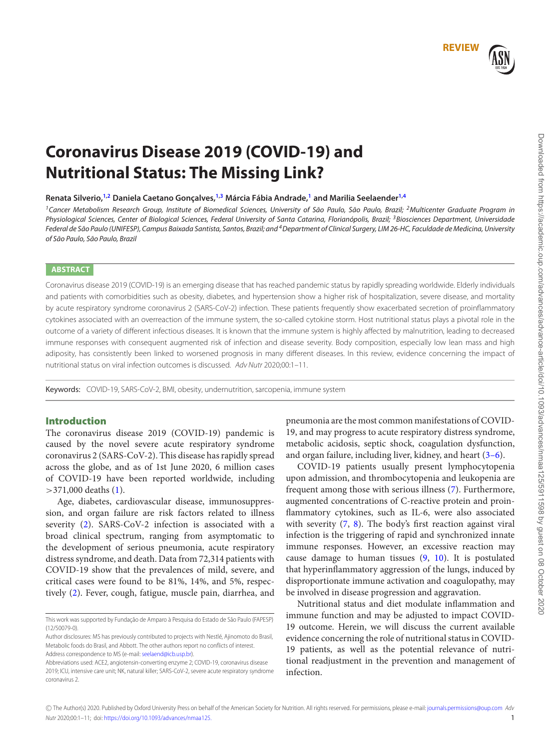# <span id="page-0-2"></span><span id="page-0-1"></span>**REVIEW**

# **Coronavirus Disease 2019 (COVID-19) and Nutritional Status: The Missing Link?**

**Renata Silverio[,1,](#page-0-0)[2](#page-0-1) Daniela Caetano Gonçalves,[1,](#page-0-0)[3](#page-0-2) Márcia Fábia Andrade[,1](#page-0-0) and Marilia Seelaender[1,](#page-0-0)[4](#page-0-3)**

<span id="page-0-0"></span><sup>1</sup>Cancer Metabolism Research Group, Institute of Biomedical Sciences, University of São Paulo, São Paulo, Brazil; <sup>2</sup>Multicenter Graduate Program in Physiological Sciences, Center of Biological Sciences, Federal University of Santa Catarina, Florianópolis, Brazil; <sup>3</sup>Biosciences Department, Universidade Federal de São Paulo (UNIFESP), Campus Baixada Santista, Santos, Brazil; and <sup>4</sup> Department of Clinical Surgery, LIM 26-HC, Faculdade de Medicina, University of São Paulo, São Paulo, Brazil

# **ABSTRACT**

Coronavirus disease 2019 (COVID-19) is an emerging disease that has reached pandemic status by rapidly spreading worldwide. Elderly individuals and patients with comorbidities such as obesity, diabetes, and hypertension show a higher risk of hospitalization, severe disease, and mortality by acute respiratory syndrome coronavirus 2 (SARS-CoV-2) infection. These patients frequently show exacerbated secretion of proinflammatory cytokines associated with an overreaction of the immune system, the so-called cytokine storm. Host nutritional status plays a pivotal role in the outcome of a variety of different infectious diseases. It is known that the immune system is highly affected by malnutrition, leading to decreased immune responses with consequent augmented risk of infection and disease severity. Body composition, especially low lean mass and high adiposity, has consistently been linked to worsened prognosis in many different diseases. In this review, evidence concerning the impact of nutritional status on viral infection outcomes is discussed. Adv Nutr 2020;00:1–11.

Keywords: COVID-19, SARS-CoV-2, BMI, obesity, undernutrition, sarcopenia, immune system

# **Introduction**

The coronavirus disease 2019 (COVID-19) pandemic is caused by the novel severe acute respiratory syndrome coronavirus 2 (SARS-CoV-2). This disease has rapidly spread across the globe, and as of 1st June 2020, 6 million cases of COVID-19 have been reported worldwide, including  $>$ 371,000 deaths [\(1\)](#page-4-0).

Age, diabetes, cardiovascular disease, immunosuppression, and organ failure are risk factors related to illness severity [\(2\)](#page-5-0). SARS-CoV-2 infection is associated with a broad clinical spectrum, ranging from asymptomatic to the development of serious pneumonia, acute respiratory distress syndrome, and death. Data from 72,314 patients with COVID-19 show that the prevalences of mild, severe, and critical cases were found to be 81%, 14%, and 5%, respectively [\(2\)](#page-5-0). Fever, cough, fatigue, muscle pain, diarrhea, and <span id="page-0-3"></span>pneumonia are the most common manifestations of COVID-19, and may progress to acute respiratory distress syndrome, metabolic acidosis, septic shock, coagulation dysfunction, and organ failure, including liver, kidney, and heart [\(3–6\)](#page-5-1).

COVID-19 patients usually present lymphocytopenia upon admission, and thrombocytopenia and leukopenia are frequent among those with serious illness [\(7\)](#page-5-2). Furthermore, augmented concentrations of C-reactive protein and proinflammatory cytokines, such as IL-6, were also associated with severity [\(7,](#page-5-2) [8\)](#page-5-3). The body's first reaction against viral infection is the triggering of rapid and synchronized innate immune responses. However, an excessive reaction may cause damage to human tissues [\(9,](#page-5-4) [10\)](#page-5-5). It is postulated that hyperinflammatory aggression of the lungs, induced by disproportionate immune activation and coagulopathy, may be involved in disease progression and aggravation.

Nutritional status and diet modulate inflammation and immune function and may be adjusted to impact COVID-19 outcome. Herein, we will discuss the current available evidence concerning the role of nutritional status in COVID-19 patients, as well as the potential relevance of nutritional readjustment in the prevention and management of infection.

© The Author(s) 2020. Published by Oxford University Press on behalf of the American Society for Nutrition. All rights reserved. For permissions, please e-mail: [journals.permissions@oup.com](mailto:journals.permissions@oup.com) Adv Nutr 2020;00:1–11; doi: [https://doi.org/10.1093/advances/nmaa125.](https://doi.org/10.1093/advances/nmaa125) 1

This work was supported by Fundação de Amparo à Pesquisa do Estado de São Paulo (FAPESP) (12/50079-0).

Author disclosures: MS has previously contributed to projects with Nestlé, Ajinomoto do Brasil, Metabolic foods do Brasil, and Abbott. The other authors report no conflicts of interest. Address correspondence to MS (e-mail: [seelaend@icb.usp.br\)](mailto:seelaend@icb.usp.br).

Abbreviations used: ACE2, angiotensin-converting enzyme 2; COVID-19, coronavirus disease 2019; ICU, intensive care unit; NK, natural killer; SARS-CoV-2, severe acute respiratory syndrome coronavirus 2.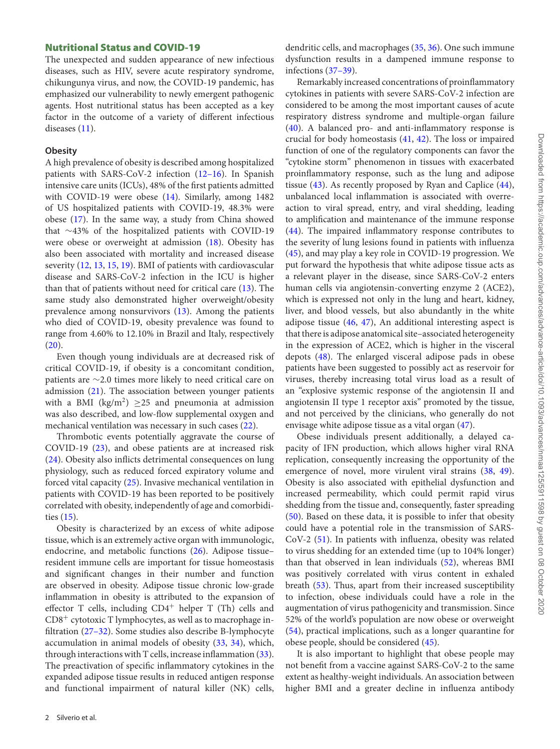#### **Nutritional Status and COVID-19**

The unexpected and sudden appearance of new infectious diseases, such as HIV, severe acute respiratory syndrome, chikungunya virus, and now, the COVID-19 pandemic, has emphasized our vulnerability to newly emergent pathogenic agents. Host nutritional status has been accepted as a key factor in the outcome of a variety of different infectious diseases [\(11\)](#page-5-6).

#### **Obesity**

A high prevalence of obesity is described among hospitalized patients with SARS-CoV-2 infection [\(12–16\)](#page-5-7). In Spanish intensive care units (ICUs), 48% of the first patients admitted with COVID-19 were obese [\(14\)](#page-5-8). Similarly, among 1482 of US hospitalized patients with COVID-19, 48.3% were obese [\(17\)](#page-5-9). In the same way, a study from China showed that ∼43% of the hospitalized patients with COVID-19 were obese or overweight at admission [\(18\)](#page-5-10). Obesity has also been associated with mortality and increased disease severity [\(12,](#page-5-7) [13,](#page-5-11) [15,](#page-5-12) [19\)](#page-5-13). BMI of patients with cardiovascular disease and SARS-CoV-2 infection in the ICU is higher than that of patients without need for critical care [\(13\)](#page-5-11). The same study also demonstrated higher overweight/obesity prevalence among nonsurvivors [\(13\)](#page-5-11). Among the patients who died of COVID-19, obesity prevalence was found to range from 4.60% to 12.10% in Brazil and Italy, respectively [\(20\)](#page-5-14).

Even though young individuals are at decreased risk of critical COVID-19, if obesity is a concomitant condition, patients are ∼2.0 times more likely to need critical care on admission [\(21\)](#page-5-15). The association between younger patients with a BMI (kg/m<sup>2</sup>)  $\geq$  25 and pneumonia at admission was also described, and low-flow supplemental oxygen and mechanical ventilation was necessary in such cases [\(22\)](#page-5-16).

Thrombotic events potentially aggravate the course of COVID-19 [\(23\)](#page-5-17), and obese patients are at increased risk [\(24\)](#page-5-18). Obesity also inflicts detrimental consequences on lung physiology, such as reduced forced expiratory volume and forced vital capacity [\(25\)](#page-5-19). Invasive mechanical ventilation in patients with COVID-19 has been reported to be positively correlated with obesity, independently of age and comorbidities [\(15\)](#page-5-12).

Obesity is characterized by an excess of white adipose tissue, which is an extremely active organ with immunologic, endocrine, and metabolic functions [\(26\)](#page-5-20). Adipose tissue– resident immune cells are important for tissue homeostasis and significant changes in their number and function are observed in obesity. Adipose tissue chronic low-grade inflammation in obesity is attributed to the expansion of effector T cells, including  $CD4^+$  helper T (Th) cells and CD8<sup>+</sup> cytotoxic T lymphocytes, as well as to macrophage infiltration [\(27–32\)](#page-5-21). Some studies also describe B-lymphocyte accumulation in animal models of obesity [\(33,](#page-6-0) [34\)](#page-6-1), which, through interactions with  $T$  cells, increase inflammation  $(33)$ . The preactivation of specific inflammatory cytokines in the expanded adipose tissue results in reduced antigen response and functional impairment of natural killer (NK) cells,

dendritic cells, and macrophages [\(35,](#page-6-2) [36\)](#page-6-3). One such immune dysfunction results in a dampened immune response to infections [\(37–39\)](#page-6-4).

Remarkably increased concentrations of proinflammatory cytokines in patients with severe SARS-CoV-2 infection are considered to be among the most important causes of acute respiratory distress syndrome and multiple-organ failure [\(40\)](#page-6-5). A balanced pro- and anti-inflammatory response is crucial for body homeostasis [\(41,](#page-6-6) [42\)](#page-6-7). The loss or impaired function of one of the regulatory components can favor the "cytokine storm" phenomenon in tissues with exacerbated proinflammatory response, such as the lung and adipose tissue  $(43)$ . As recently proposed by Ryan and Caplice  $(44)$ , unbalanced local inflammation is associated with overreaction to viral spread, entry, and viral shedding, leading to amplification and maintenance of the immune response [\(44\)](#page-6-9). The impaired inflammatory response contributes to the severity of lung lesions found in patients with influenza [\(45\)](#page-6-10), and may play a key role in COVID-19 progression. We put forward the hypothesis that white adipose tissue acts as a relevant player in the disease, since SARS-CoV-2 enters human cells via angiotensin-converting enzyme 2 (ACE2), which is expressed not only in the lung and heart, kidney, liver, and blood vessels, but also abundantly in the white adipose tissue [\(46,](#page-6-11) [47\)](#page-6-12), An additional interesting aspect is that there is adipose anatomical site–associated heterogeneity in the expression of ACE2, which is higher in the visceral depots [\(48\)](#page-6-13). The enlarged visceral adipose pads in obese patients have been suggested to possibly act as reservoir for viruses, thereby increasing total virus load as a result of an "explosive systemic response of the angiotensin II and angiotensin II type 1 receptor axis" promoted by the tissue, and not perceived by the clinicians, who generally do not envisage white adipose tissue as a vital organ [\(47\)](#page-6-12).

Obese individuals present additionally, a delayed capacity of IFN production, which allows higher viral RNA replication, consequently increasing the opportunity of the emergence of novel, more virulent viral strains [\(38,](#page-6-14) [49\)](#page-6-15). Obesity is also associated with epithelial dysfunction and increased permeability, which could permit rapid virus shedding from the tissue and, consequently, faster spreading [\(50\)](#page-6-16). Based on these data, it is possible to infer that obesity could have a potential role in the transmission of SARS-CoV-2 [\(51\)](#page-6-17). In patients with influenza, obesity was related to virus shedding for an extended time (up to 104% longer) than that observed in lean individuals [\(52\)](#page-6-18), whereas BMI was positively correlated with virus content in exhaled breath [\(53\)](#page-6-19). Thus, apart from their increased susceptibility to infection, obese individuals could have a role in the augmentation of virus pathogenicity and transmission. Since 52% of the world's population are now obese or overweight [\(54\)](#page-6-20), practical implications, such as a longer quarantine for obese people, should be considered [\(45\)](#page-6-10).

It is also important to highlight that obese people may not benefit from a vaccine against SARS-CoV-2 to the same extent as healthy-weight individuals. An association between higher BMI and a greater decline in influenza antibody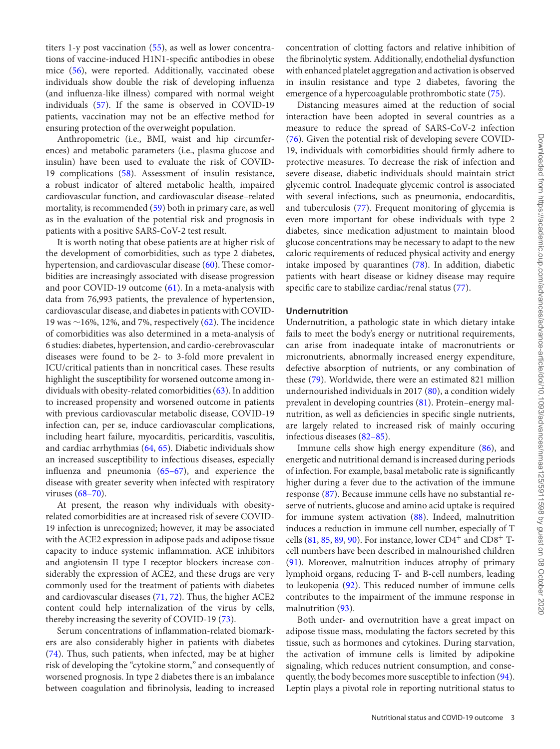titers 1-y post vaccination [\(55\)](#page-6-21), as well as lower concentrations of vaccine-induced H1N1-specific antibodies in obese mice [\(56\)](#page-6-22), were reported. Additionally, vaccinated obese individuals show double the risk of developing influenza (and influenza-like illness) compared with normal weight individuals [\(57\)](#page-6-23). If the same is observed in COVID-19 patients, vaccination may not be an effective method for ensuring protection of the overweight population.

Anthropometric (i.e., BMI, waist and hip circumferences) and metabolic parameters (i.e., plasma glucose and insulin) have been used to evaluate the risk of COVID-19 complications [\(58\)](#page-7-0). Assessment of insulin resistance, a robust indicator of altered metabolic health, impaired cardiovascular function, and cardiovascular disease–related mortality, is recommended [\(59\)](#page-7-1) both in primary care, as well as in the evaluation of the potential risk and prognosis in patients with a positive SARS-CoV-2 test result.

It is worth noting that obese patients are at higher risk of the development of comorbidities, such as type 2 diabetes, hypertension, and cardiovascular disease [\(60\)](#page-7-2). These comorbidities are increasingly associated with disease progression and poor COVID-19 outcome [\(61\)](#page-7-3). In a meta-analysis with data from 76,993 patients, the prevalence of hypertension, cardiovascular disease, and diabetes in patients with COVID-19 was ∼16%, 12%, and 7%, respectively [\(62\)](#page-7-4). The incidence of comorbidities was also determined in a meta-analysis of 6 studies: diabetes, hypertension, and cardio-cerebrovascular diseases were found to be 2- to 3-fold more prevalent in ICU/critical patients than in noncritical cases. These results highlight the susceptibility for worsened outcome among individuals with obesity-related comorbidities [\(63\)](#page-7-5). In addition to increased propensity and worsened outcome in patients with previous cardiovascular metabolic disease, COVID-19 infection can*,* per se, induce cardiovascular complications, including heart failure, myocarditis, pericarditis, vasculitis, and cardiac arrhythmias [\(64,](#page-7-6) [65\)](#page-7-7). Diabetic individuals show an increased susceptibility to infectious diseases, especially influenza and pneumonia [\(65–67\)](#page-7-7), and experience the disease with greater severity when infected with respiratory viruses [\(68–70\)](#page-7-8).

At present, the reason why individuals with obesityrelated comorbidities are at increased risk of severe COVID-19 infection is unrecognized; however, it may be associated with the ACE2 expression in adipose pads and adipose tissue capacity to induce systemic inflammation. ACE inhibitors and angiotensin II type I receptor blockers increase considerably the expression of ACE2, and these drugs are very commonly used for the treatment of patients with diabetes and cardiovascular diseases [\(71,](#page-7-9) [72\)](#page-7-10). Thus, the higher ACE2 content could help internalization of the virus by cells, thereby increasing the severity of COVID-19 [\(73\)](#page-7-11).

Serum concentrations of inflammation-related biomarkers are also considerably higher in patients with diabetes [\(74\)](#page-7-12). Thus, such patients, when infected, may be at higher risk of developing the "cytokine storm," and consequently of worsened prognosis. In type 2 diabetes there is an imbalance between coagulation and fibrinolysis, leading to increased

concentration of clotting factors and relative inhibition of the fibrinolytic system. Additionally, endothelial dysfunction with enhanced platelet aggregation and activation is observed in insulin resistance and type 2 diabetes, favoring the emergence of a hypercoagulable prothrombotic state [\(75\)](#page-7-13).

Distancing measures aimed at the reduction of social interaction have been adopted in several countries as a measure to reduce the spread of SARS-CoV-2 infection [\(76\)](#page-7-14). Given the potential risk of developing severe COVID-19, individuals with comorbidities should firmly adhere to protective measures. To decrease the risk of infection and severe disease, diabetic individuals should maintain strict glycemic control. Inadequate glycemic control is associated with several infections, such as pneumonia, endocarditis, and tuberculosis [\(77\)](#page-7-15). Frequent monitoring of glycemia is even more important for obese individuals with type 2 diabetes, since medication adjustment to maintain blood glucose concentrations may be necessary to adapt to the new caloric requirements of reduced physical activity and energy intake imposed by quarantines [\(78\)](#page-7-16). In addition, diabetic patients with heart disease or kidney disease may require specific care to stabilize cardiac/renal status [\(77\)](#page-7-15).

#### **Undernutrition**

Undernutrition, a pathologic state in which dietary intake fails to meet the body's energy or nutritional requirements, can arise from inadequate intake of macronutrients or micronutrients, abnormally increased energy expenditure, defective absorption of nutrients, or any combination of these [\(79\)](#page-7-17). Worldwide, there were an estimated 821 million undernourished individuals in 2017 [\(80\)](#page-7-18), a condition widely prevalent in developing countries [\(81\)](#page-7-19). Protein–energy malnutrition, as well as deficiencies in specific single nutrients, are largely related to increased risk of mainly occuring infectious diseases [\(82–85\)](#page-7-20).

Immune cells show high energy expenditure [\(86\)](#page-7-21), and energetic and nutritional demand is increased during periods of infection. For example, basal metabolic rate is significantly higher during a fever due to the activation of the immune response [\(87\)](#page-8-0). Because immune cells have no substantial reserve of nutrients, glucose and amino acid uptake is required for immune system activation [\(88\)](#page-8-1). Indeed, malnutrition induces a reduction in immune cell number, especially of T cells  $(81, 85, 89, 90)$  $(81, 85, 89, 90)$  $(81, 85, 89, 90)$  $(81, 85, 89, 90)$  $(81, 85, 89, 90)$  $(81, 85, 89, 90)$  $(81, 85, 89, 90)$ . For instance, lower CD4<sup>+</sup> and CD8<sup>+</sup> Tcell numbers have been described in malnourished children [\(91\)](#page-8-4). Moreover, malnutrition induces atrophy of primary lymphoid organs, reducing T- and B-cell numbers, leading to leukopenia [\(92\)](#page-8-5). This reduced number of immune cells contributes to the impairment of the immune response in malnutrition [\(93\)](#page-8-6).

Both under- and overnutrition have a great impact on adipose tissue mass, modulating the factors secreted by this tissue, such as hormones and cytokines. During starvation, the activation of immune cells is limited by adipokine signaling, which reduces nutrient consumption, and consequently, the body becomes more susceptible to infection [\(94\)](#page-8-7). Leptin plays a pivotal role in reporting nutritional status to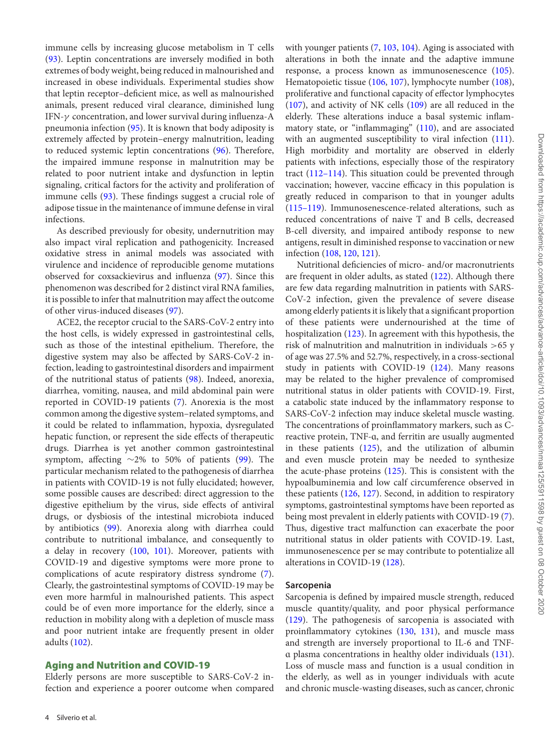immune cells by increasing glucose metabolism in T cells [\(93\)](#page-8-6). Leptin concentrations are inversely modified in both extremes of body weight, being reduced in malnourished and increased in obese individuals. Experimental studies show that leptin receptor–deficient mice, as well as malnourished animals, present reduced viral clearance, diminished lung IFN-γ concentration, and lower survival during influenza-A pneumonia infection [\(95\)](#page-8-8). It is known that body adiposity is extremely affected by protein–energy malnutrition, leading to reduced systemic leptin concentrations [\(96\)](#page-8-9). Therefore, the impaired immune response in malnutrition may be related to poor nutrient intake and dysfunction in leptin signaling, critical factors for the activity and proliferation of immune cells [\(93\)](#page-8-6). These findings suggest a crucial role of adipose tissue in the maintenance of immune defense in viral infections.

As described previously for obesity, undernutrition may also impact viral replication and pathogenicity. Increased oxidative stress in animal models was associated with virulence and incidence of reproducible genome mutations observed for coxsackievirus and influenza [\(97\)](#page-8-10). Since this phenomenon was described for 2 distinct viral RNA families, it is possible to infer that malnutrition may affect the outcome of other virus-induced diseases [\(97\)](#page-8-10).

ACE2, the receptor crucial to the SARS-CoV-2 entry into the host cells, is widely expressed in gastrointestinal cells, such as those of the intestinal epithelium. Therefore, the digestive system may also be affected by SARS-CoV-2 infection, leading to gastrointestinal disorders and impairment of the nutritional status of patients [\(98\)](#page-8-11). Indeed, anorexia, diarrhea, vomiting, nausea, and mild abdominal pain were reported in COVID-19 patients [\(7\)](#page-5-2). Anorexia is the most common among the digestive system–related symptoms, and it could be related to inflammation, hypoxia, dysregulated hepatic function, or represent the side effects of therapeutic drugs. Diarrhea is yet another common gastrointestinal symptom, affecting ∼2% to 50% of patients [\(99\)](#page-8-12). The particular mechanism related to the pathogenesis of diarrhea in patients with COVID-19 is not fully elucidated; however, some possible causes are described: direct aggression to the digestive epithelium by the virus, side effects of antiviral drugs, or dysbiosis of the intestinal microbiota induced by antibiotics [\(99\)](#page-8-12). Anorexia along with diarrhea could contribute to nutritional imbalance, and consequently to a delay in recovery [\(100,](#page-8-13) [101\)](#page-8-14). Moreover, patients with COVID-19 and digestive symptoms were more prone to complications of acute respiratory distress syndrome [\(7\)](#page-5-2). Clearly, the gastrointestinal symptoms of COVID-19 may be even more harmful in malnourished patients. This aspect could be of even more importance for the elderly, since a reduction in mobility along with a depletion of muscle mass and poor nutrient intake are frequently present in older adults [\(102\)](#page-8-15).

#### **Aging and Nutrition and COVID-19**

Elderly persons are more susceptible to SARS-CoV-2 infection and experience a poorer outcome when compared with younger patients [\(7,](#page-5-2) [103,](#page-8-16) [104\)](#page-8-17). Aging is associated with alterations in both the innate and the adaptive immune response, a process known as immunosenescence [\(105\)](#page-8-18). Hematopoietic tissue [\(106,](#page-8-19) [107\)](#page-8-20), lymphocyte number [\(108\)](#page-8-21), proliferative and functional capacity of effector lymphocytes [\(107\)](#page-8-20), and activity of NK cells [\(109\)](#page-8-22) are all reduced in the elderly. These alterations induce a basal systemic inflammatory state, or "inflammaging" [\(110\)](#page-8-23), and are associated with an augmented susceptibility to viral infection [\(111\)](#page-8-24). High morbidity and mortality are observed in elderly patients with infections, especially those of the respiratory tract [\(112–114\)](#page-8-25). This situation could be prevented through vaccination; however, vaccine efficacy in this population is greatly reduced in comparison to that in younger adults [\(115–119\)](#page-8-26). Immunosenescence-related alterations, such as reduced concentrations of naive T and B cells, decreased B-cell diversity, and impaired antibody response to new antigens, result in diminished response to vaccination or new infection [\(108,](#page-8-21) [120,](#page-9-0) [121\)](#page-9-1).

Nutritional deficiencies of micro- and/or macronutrients are frequent in older adults, as stated [\(122\)](#page-9-2). Although there are few data regarding malnutrition in patients with SARS-CoV-2 infection, given the prevalence of severe disease among elderly patients it is likely that a significant proportion of these patients were undernourished at the time of hospitalization [\(123\)](#page-9-3). In agreement with this hypothesis, the risk of malnutrition and malnutrition in individuals >65 y of age was 27.5% and 52.7%, respectively, in a cross-sectional study in patients with COVID-19 [\(124\)](#page-9-4). Many reasons may be related to the higher prevalence of compromised nutritional status in older patients with COVID-19. First, a catabolic state induced by the inflammatory response to SARS-CoV-2 infection may induce skeletal muscle wasting. The concentrations of proinflammatory markers, such as Creactive protein, TNF-ɑ, and ferritin are usually augmented in these patients  $(125)$ , and the utilization of albumin and even muscle protein may be needed to synthesize the acute-phase proteins  $(125)$ . This is consistent with the hypoalbuminemia and low calf circumference observed in these patients [\(126,](#page-9-6) [127\)](#page-9-7). Second, in addition to respiratory symptoms, gastrointestinal symptoms have been reported as being most prevalent in elderly patients with COVID-19 [\(7\)](#page-5-2). Thus, digestive tract malfunction can exacerbate the poor nutritional status in older patients with COVID-19. Last, immunosenescence per se may contribute to potentialize all alterations in COVID-19 [\(128\)](#page-9-8).

#### **Sarcopenia**

Sarcopenia is defined by impaired muscle strength, reduced muscle quantity/quality, and poor physical performance [\(129\)](#page-9-9). The pathogenesis of sarcopenia is associated with proinflammatory cytokines [\(130,](#page-9-10) [131\)](#page-9-11), and muscle mass and strength are inversely proportional to IL-6 and TNFɑ plasma concentrations in healthy older individuals [\(131\)](#page-9-11). Loss of muscle mass and function is a usual condition in the elderly, as well as in younger individuals with acute and chronic muscle-wasting diseases, such as cancer, chronic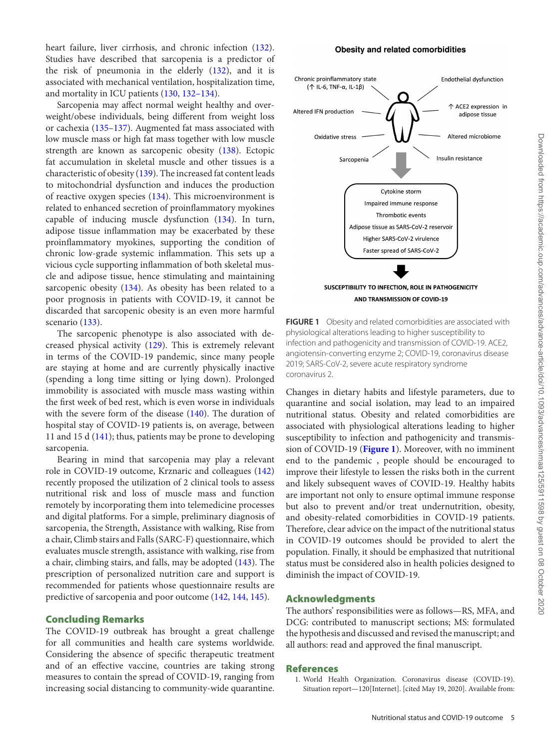heart failure, liver cirrhosis, and chronic infection [\(132\)](#page-9-12). Studies have described that sarcopenia is a predictor of the risk of pneumonia in the elderly [\(132\)](#page-9-12), and it is associated with mechanical ventilation, hospitalization time, and mortality in ICU patients [\(130,](#page-9-10) [132–134\)](#page-9-12).

Sarcopenia may affect normal weight healthy and overweight/obese individuals, being different from weight loss or cachexia [\(135–137\)](#page-9-13). Augmented fat mass associated with low muscle mass or high fat mass together with low muscle strength are known as sarcopenic obesity [\(138\)](#page-9-14). Ectopic fat accumulation in skeletal muscle and other tissues is a characteristic of obesity [\(139\)](#page-9-15). The increased fat content leads to mitochondrial dysfunction and induces the production of reactive oxygen species [\(134\)](#page-9-16). This microenvironment is related to enhanced secretion of proinflammatory myokines capable of inducing muscle dysfunction [\(134\)](#page-9-16). In turn, adipose tissue inflammation may be exacerbated by these proinflammatory myokines, supporting the condition of chronic low-grade systemic inflammation. This sets up a vicious cycle supporting inflammation of both skeletal muscle and adipose tissue, hence stimulating and maintaining sarcopenic obesity [\(134\)](#page-9-16). As obesity has been related to a poor prognosis in patients with COVID-19, it cannot be discarded that sarcopenic obesity is an even more harmful scenario [\(133\)](#page-9-17).

The sarcopenic phenotype is also associated with decreased physical activity [\(129\)](#page-9-9). This is extremely relevant in terms of the COVID-19 pandemic, since many people are staying at home and are currently physically inactive (spending a long time sitting or lying down). Prolonged immobility is associated with muscle mass wasting within the first week of bed rest, which is even worse in individuals with the severe form of the disease [\(140\)](#page-9-18). The duration of hospital stay of COVID-19 patients is, on average, between 11 and 15 d [\(141\)](#page-9-19); thus, patients may be prone to developing sarcopenia.

Bearing in mind that sarcopenia may play a relevant role in COVID-19 outcome, Krznaric and colleagues [\(142\)](#page-9-20) recently proposed the utilization of 2 clinical tools to assess nutritional risk and loss of muscle mass and function remotely by incorporating them into telemedicine processes and digital platforms. For a simple, preliminary diagnosis of sarcopenia, the Strength, Assistance with walking, Rise from a chair, Climb stairs and Falls (SARC-F) questionnaire, which evaluates muscle strength, assistance with walking, rise from a chair, climbing stairs, and falls, may be adopted [\(143\)](#page-10-0). The prescription of personalized nutrition care and support is recommended for patients whose questionnaire results are predictive of sarcopenia and poor outcome [\(142,](#page-9-20) [144,](#page-10-1) [145\)](#page-10-2).

# **Concluding Remarks**

The COVID-19 outbreak has brought a great challenge for all communities and health care systems worldwide. Considering the absence of specific therapeutic treatment and of an effective vaccine, countries are taking strong measures to contain the spread of COVID-19, ranging from increasing social distancing to community-wide quarantine.

#### Obesity and related comorbidities

<span id="page-4-1"></span>

**FIGURE 1** Obesity and related comorbidities are associated with physiological alterations leading to higher susceptibility to infection and pathogenicity and transmission of COVID-19. ACE2, angiotensin-converting enzyme 2; COVID-19, coronavirus disease 2019; SARS-CoV-2, severe acute respiratory syndrome coronavirus 2.

Changes in dietary habits and lifestyle parameters, due to quarantine and social isolation, may lead to an impaired nutritional status. Obesity and related comorbidities are associated with physiological alterations leading to higher susceptibility to infection and pathogenicity and transmission of COVID-19 (**[Figure 1](#page-4-1)**). Moreover, with no imminent end to the pandemic , people should be encouraged to improve their lifestyle to lessen the risks both in the current and likely subsequent waves of COVID-19. Healthy habits are important not only to ensure optimal immune response but also to prevent and/or treat undernutrition, obesity, and obesity-related comorbidities in COVID-19 patients. Therefore, clear advice on the impact of the nutritional status in COVID-19 outcomes should be provided to alert the population. Finally, it should be emphasized that nutritional status must be considered also in health policies designed to diminish the impact of COVID-19.

# **Acknowledgments**

The authors' responsibilities were as follows—RS, MFA, and DCG: contributed to manuscript sections; MS: formulated the hypothesis and discussed and revised the manuscript; and all authors: read and approved the final manuscript.

#### **References**

<span id="page-4-0"></span>1. World Health Organization. Coronavirus disease (COVID-19). Situation report—120[Internet]. [cited May 19, 2020]. Available from: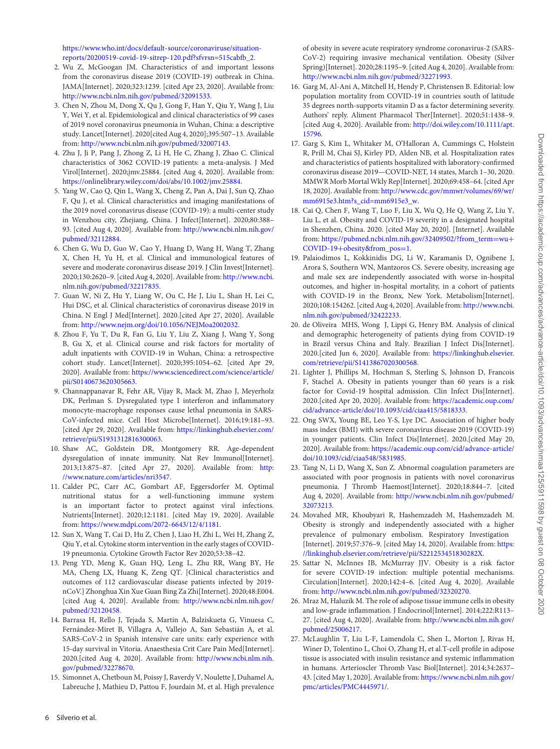[https://www.who.int/docs/default-source/coronaviruse/situation](https://www.who.int/docs/default-source/coronaviruse/situation-reports/20200519-covid-19-sitrep-120.pdf?sfvrsn=515cabfb_2)reports/20200519-covid-19-sitrep-120.pdf?sfvrsn=515cabfb\_2.

- <span id="page-5-0"></span>2. Wu Z, McGoogan JM. Characteristics of and important lessons from the coronavirus disease 2019 (COVID-19) outbreak in China. JAMA[Internet]. 2020;323:1239. [cited Apr 23, 2020]. Available from: [http://www.ncbi.nlm.nih.gov/pubmed/32091533.](http://www.ncbi.nlm.nih.gov/pubmed/32091533)
- <span id="page-5-1"></span>3. Chen N, Zhou M, Dong X, Qu J, Gong F, Han Y, Qiu Y, Wang J, Liu Y, Wei Y, et al. Epidemiological and clinical characteristics of 99 cases of 2019 novel coronavirus pneumonia in Wuhan, China: a descriptive study. Lancet[Internet]. 2020[cited Aug 4, 2020];395:507–13. Available from: [http://www.ncbi.nlm.nih.gov/pubmed/32007143.](http://www.ncbi.nlm.nih.gov/pubmed/32007143)
- 4. Zhu J, Ji P, Pang J, Zhong Z, Li H, He C, Zhang J, Zhao C. Clinical characteristics of 3062 COVID-19 patients: a meta-analysis. J Med Virol[Internet]. 2020;jmv.25884. [cited Aug 4, 2020]. Available from: [https://onlinelibrary.wiley.com/doi/abs/10.1002/jmv.25884.](https://onlinelibrary.wiley.com/doi/abs/10.1002/jmv.25884)
- 5. Yang W, Cao Q, Qin L, Wang X, Cheng Z, Pan A, Dai J, Sun Q, Zhao F, Qu J, et al. Clinical characteristics and imaging manifestations of the 2019 novel coronavirus disease (COVID-19): a multi-center study in Wenzhou city, Zhejiang, China. J Infect[Internet]. 2020;80:388– [93. \[cited Aug 4, 2020\]. Available from:](http://www.ncbi.nlm.nih.gov/pubmed/32112884) http://www.ncbi.nlm.nih.gov/ pubmed/32112884.
- 6. Chen G, Wu D, Guo W, Cao Y, Huang D, Wang H, Wang T, Zhang X, Chen H, Yu H, et al. Clinical and immunological features of severe and moderate coronavirus disease 2019. J Clin Invest[Internet]. [2020;130:2620–9. \[cited Aug 4, 2020\]. Available from:](http://www.ncbi.nlm.nih.gov/pubmed/32217835) http://www.ncbi. nlm.nih.gov/pubmed/32217835.
- <span id="page-5-2"></span>7. Guan W, Ni Z, Hu Y, Liang W, Ou C, He J, Liu L, Shan H, Lei C, Hui DSC, et al. Clinical characteristics of coronavirus disease 2019 in China. N Engl J Med[Internet]. 2020.[cited Apr 27, 2020]. Available from: [http://www.nejm.org/doi/10.1056/NEJMoa2002032.](http://www.nejm.org/doi/10.1056/NEJMoa2002032)
- <span id="page-5-3"></span>8. Zhou F, Yu T, Du R, Fan G, Liu Y, Liu Z, Xiang J, Wang Y, Song B, Gu X, et al. Clinical course and risk factors for mortality of adult inpatients with COVID-19 in Wuhan, China: a retrospective cohort study. Lancet[Internet]. 2020;395:1054–62. [cited Apr 29, 2020]. Available from: [https://www.sciencedirect.com/science/article/](https://www.sciencedirect.com/science/article/pii/S0140673620305663) pii/S0140673620305663.
- <span id="page-5-4"></span>9. Channappanavar R, Fehr AR, Vijay R, Mack M, Zhao J, Meyerholz DK, Perlman S. Dysregulated type I interferon and inflammatory monocyte-macrophage responses cause lethal pneumonia in SARS-CoV-infected mice. Cell Host Microbe[Internet]. 2016;19:181–93. [\[cited Apr 29, 2020\]. Available from:](https://linkinghub.elsevier.com/retrieve/pii/S1931312816300063) https://linkinghub.elsevier.com/ retrieve/pii/S1931312816300063.
- <span id="page-5-5"></span>10. Shaw AC, Goldstein DR, Montgomery RR. Age-dependent dysregulation of innate immunity. Nat Rev Immunol[Internet]. [2013;13:875–87. \[cited Apr 27, 2020\]. Available from:](http://www.nature.com/articles/nri3547) http: //www.nature.com/articles/nri3547.
- <span id="page-5-6"></span>11. Calder PC, Carr AC, Gombart AF, Eggersdorfer M. Optimal nutritional status for a well-functioning immune system is an important factor to protect against viral infections. Nutrients[Internet]. 2020;12:1181. [cited May 19, 2020]. Available from: [https://www.mdpi.com/2072-6643/12/4/1181.](https://www.mdpi.com/2072-6643/12/4/1181)
- <span id="page-5-7"></span>12. Sun X, Wang T, Cai D, Hu Z, Chen J, Liao H, Zhi L, Wei H, Zhang Z, Qiu Y, et al. Cytokine storm intervention in the early stages of COVID-19 pneumonia. Cytokine Growth Factor Rev 2020;53:38–42.
- <span id="page-5-11"></span>13. Peng YD, Meng K, Guan HQ, Leng L, Zhu RR, Wang BY, He MA, Cheng LX, Huang K, Zeng QT. [Clinical characteristics and outcomes of 112 cardiovascular disease patients infected by 2019 nCoV.] Zhonghua Xin Xue Guan Bing Za Zhi[Internet]. 2020;48:E004. [\[cited Aug 4, 2020\]. Available from:](http://www.ncbi.nlm.nih.gov/pubmed/32120458) http://www.ncbi.nlm.nih.gov/ pubmed/32120458.
- <span id="page-5-8"></span>14. Barrasa H, Rello J, Tejada S, Martín A, Balziskueta G, Vinuesa C, Fernández-Miret B, Villagra A, Vallejo A, San Sebastián A, et al. SARS-CoV-2 in Spanish intensive care units: early experience with 15-day survival in Vitoria. Anaesthesia Crit Care Pain Med[Internet]. [2020.\[cited Aug 4, 2020\]. Available from:](http://www.ncbi.nlm.nih.gov/pubmed/32278670) http://www.ncbi.nlm.nih. gov/pubmed/32278670.
- <span id="page-5-12"></span>15. Simonnet A, Chetboun M, Poissy J, Raverdy V, Noulette J, Duhamel A, Labreuche J, Mathieu D, Pattou F, Jourdain M, et al. High prevalence

of obesity in severe acute respiratory syndrome coronavirus-2 (SARS-CoV-2) requiring invasive mechanical ventilation. Obesity (Silver Spring)[Internet]. 2020;28:1195–9. [cited Aug 4, 2020]. Available from: [http://www.ncbi.nlm.nih.gov/pubmed/32271993.](http://www.ncbi.nlm.nih.gov/pubmed/32271993)

- 16. Garg M, Al-Ani A, Mitchell H, Hendy P, Christensen B. Editorial: low population mortality from COVID-19 in countries south of latitude 35 degrees north-supports vitamin D as a factor determining severity. Authors' reply. Aliment Pharmacol Ther[Internet]. 2020;51:1438–9. [\[cited Aug 4, 2020\]. Available from:](http://doi.wiley.com/10.1111/apt.15796) http://doi.wiley.com/10.1111/apt. 15796.
- <span id="page-5-9"></span>17. Garg S, Kim L, Whitaker M, O'Halloran A, Cummings C, Holstein R, Prill M, Chai SJ, Kirley PD, Alden NB, et al. Hospitalization rates and characteristics of patients hospitalized with laboratory-confirmed coronavirus disease 2019—COVID-NET, 14 states, March 1–30, 2020. MMWR Morb Mortal Wkly Rep[Internet]. 2020;69:458–64. [cited Apr 18, 2020]. Available from: [http://www.cdc.gov/mmwr/volumes/69/wr/](http://www.cdc.gov/mmwr/volumes/69/wr/mm6915e3.htm?s_cid=mm6915e3_w) mm6915e3.htm?s\_cid=mm6915e3\_w.
- <span id="page-5-10"></span>18. Cai Q, Chen F, Wang T, Luo F, Liu X, Wu Q, He Q, Wang Z, Liu Y, Liu L, et al. Obesity and COVID-19 severity in a designated hospital in Shenzhen, China. 2020. [cited May 20, 2020]. [Internet]. Available from: [https://pubmed.ncbi.nlm.nih.gov/32409502/?from\\_term](https://pubmed.ncbi.nlm.nih.gov/32409502/?from_term=wu+COVID-19+obesity\&from_pos=1)=wu+ COVID-19+obesity&from\_pos=1.
- <span id="page-5-13"></span>19. Palaiodimos L, Kokkinidis DG, Li W, Karamanis D, Ognibene J, Arora S, Southern WN, Mantzoros CS. Severe obesity, increasing age and male sex are independently associated with worse in-hospital outcomes, and higher in-hospital mortality, in a cohort of patients with COVID-19 in the Bronx, New York. Metabolism[Internet]. [2020;108:154262. \[cited Aug 4, 2020\]. Available from:](http://www.ncbi.nlm.nih.gov/pubmed/32422233) http://www.ncbi. nlm.nih.gov/pubmed/32422233.
- <span id="page-5-14"></span>20. de Oliveira MHS, Wong J, Lippi G, Henry BM. Analysis of clinical and demographic heterogeneity of patients dying from COVID-19 in Brazil versus China and Italy. Brazilian J Infect Dis[Internet]. [2020.\[cited Jun 6, 2020\]. Available from:](https://linkinghub.elsevier.com/retrieve/pii/S1413867020300568) https://linkinghub.elsevier. com/retrieve/pii/S1413867020300568.
- <span id="page-5-15"></span>21. Lighter J, Phillips M, Hochman S, Sterling S, Johnson D, Francois F, Stachel A. Obesity in patients younger than 60 years is a risk factor for Covid-19 hospital admission. Clin Infect Dis[Internet]. 2020.[cited Apr 20, 2020]. Available from: https://academic.oup.com/ [cid/advance-article/doi/10.1093/cid/ciaa415/5818333.](https://academic.oup.com/cid/advance-article/doi/10.1093/cid/ciaa415/5818333)
- <span id="page-5-16"></span>22. Ong SWX, Young BE, Leo Y-S, Lye DC. Association of higher body mass index (BMI) with severe coronavirus disease 2019 (COVID-19) in younger patients. Clin Infect Dis[Internet]. 2020.[cited May 20, 2020]. Available from: [https://academic.oup.com/cid/advance-article/](https://academic.oup.com/cid/advance-article/doi/10.1093/cid/ciaa548/5831985) doi/10.1093/cid/ciaa548/5831985.
- <span id="page-5-17"></span>23. Tang N, Li D, Wang X, Sun Z. Abnormal coagulation parameters are associated with poor prognosis in patients with novel coronavirus pneumonia. J Thromb Haemost[Internet]. 2020;18:844–7. [cited Aug 4, 2020]. Available from: [http://www.ncbi.nlm.nih.gov/pubmed/](http://www.ncbi.nlm.nih.gov/pubmed/32073213) 32073213.
- <span id="page-5-18"></span>24. Movahed MR, Khoubyari R, Hashemzadeh M, Hashemzadeh M. Obesity is strongly and independently associated with a higher prevalence of pulmonary embolism. Respiratory Investigation [\[Internet\]. 2019;57:376–9. \[cited May 14, 2020\]. Available from:](https://linkinghub.elsevier.com/retrieve/pii/S221253451830282X) https: //linkinghub.elsevier.com/retrieve/pii/S221253451830282X.
- <span id="page-5-19"></span>25. Sattar N, McInnes IB, McMurray JJV. Obesity is a risk factor for severe COVID-19 infection: multiple potential mechanisms. Circulation[Internet]. 2020;142:4–6. [cited Aug 4, 2020]. Available from: [http://www.ncbi.nlm.nih.gov/pubmed/32320270.](http://www.ncbi.nlm.nih.gov/pubmed/32320270)
- <span id="page-5-20"></span>26. Mraz M, Haluzik M. The role of adipose tissue immune cells in obesity and low-grade inflammation. J Endocrinol[Internet]. 2014;222:R113– [27. \[cited Aug 4, 2020\]. Available from:](http://www.ncbi.nlm.nih.gov/pubmed/25006217) http://www.ncbi.nlm.nih.gov/ pubmed/25006217.
- <span id="page-5-21"></span>27. McLaughlin T, Liu L-F, Lamendola C, Shen L, Morton J, Rivas H, Winer D, Tolentino L, Choi O, Zhang H, et al.T-cell profile in adipose tissue is associated with insulin resistance and systemic inflammation in humans. Arterioscler Thromb Vasc Biol[Internet]. 2014;34:2637– [43. \[cited May 1, 2020\]. Available from:](https://www.ncbi.nlm.nih.gov/pmc/articles/PMC4445971/) https://www.ncbi.nlm.nih.gov/ pmc/articles/PMC4445971/.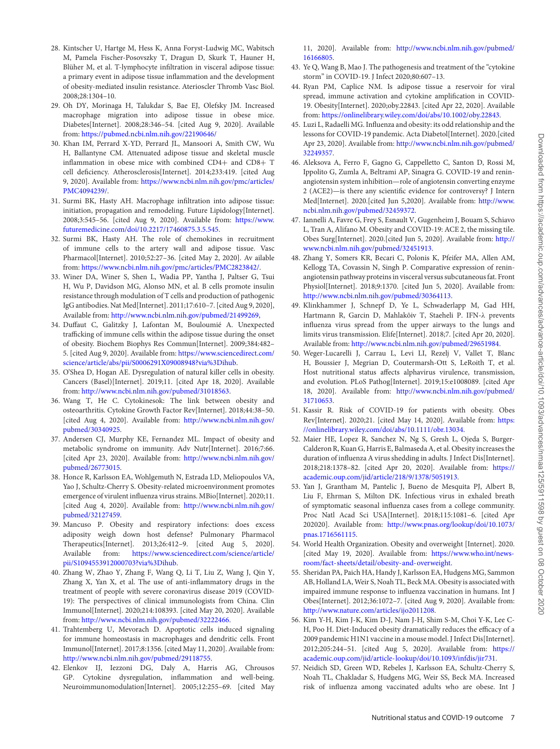- 28. Kintscher U, Hartge M, Hess K, Anna Foryst-Ludwig MC, Wabitsch M, Pamela Fischer-Posovszky T, Dragun D, Skurk T, Hauner H, Blüher M, et al. T-lymphocyte infiltration in visceral adipose tissue: a primary event in adipose tissue inflammation and the development of obesity-mediated insulin resistance. Aterioscler Thromb Vasc Biol. 2008;28:1304–10.
- 29. Oh DY, Morinaga H, Talukdar S, Bae EJ, Olefsky JM. Increased macrophage migration into adipose tissue in obese mice. Diabetes[Internet]. 2008;28:346–54. [cited Aug 9, 2020]. Available from: <https://pubmed.ncbi.nlm.nih.gov/22190646/>
- 30. Khan IM, Perrard X-YD, Perrard JL, Mansoori A, Smith CW, Wu H, Ballantyne CM. Attenuated adipose tissue and skeletal muscle inflammation in obese mice with combined CD4+ and CD8+ T cell deficiency. Atherosclerosis[Internet]. 2014;233:419. [cited Aug 9, 2020]. Available from: [https://www.ncbi.nlm.nih.gov/pmc/articles/](https://www.ncbi.nlm.nih.gov/pmc/articles/PMC4094239/) PMC4094239/.
- 31. Surmi BK, Hasty AH. Macrophage infiltration into adipose tissue: initiation, propagation and remodeling. Future Lipidology[Internet]. [2008;3:545–56. \[cited Aug 9, 2020\]. Available from:](https://www.futuremedicine.com/doi/10.2217/17460875.3.5.545) https://www. futuremedicine.com/doi/10.2217/17460875.3.5.545.
- 32. Surmi BK, Hasty AH. The role of chemokines in recruitment of immune cells to the artery wall and adipose tissue. Vasc Pharmacol[Internet]. 2010;52:27–36. [cited May 2, 2020]. Av ailable from: [https://www.ncbi.nlm.nih.gov/pmc/articles/PMC2823842/.](https://www.ncbi.nlm.nih.gov/pmc/articles/PMC2823842/)
- <span id="page-6-0"></span>33. Winer DA, Winer S, Shen L, Wadia PP, Yantha J, Paltser G, Tsui H, Wu P, Davidson MG, Alonso MN, et al. B cells promote insulin resistance through modulation of T cells and production of pathogenic IgG antibodies. Nat Med[Internet]. 2011;17:610–7. [cited Aug 9, 2020], Available from: <http://www.ncbi.nlm.nih.gov/pubmed/21499269,>
- <span id="page-6-1"></span>34. Duffaut C, Galitzky J, Lafontan M, Bouloumié A. Unexpected trafficking of immune cells within the adipose tissue during the onset of obesity. Biochem Biophys Res Commun[Internet]. 2009;384:482– 5. [cited Aug 9, 2020]. Available from: https://www.sciencedirect.com/ [science/article/abs/pii/S0006291X09008948?via%3Dihub.](https://www.sciencedirect.com/science/article/abs/pii/S0006291X09008948?via%3Dihub)
- <span id="page-6-2"></span>35. O'Shea D, Hogan AE. Dysregulation of natural killer cells in obesity. Cancers (Basel)[Internet]. 2019;11. [cited Apr 18, 2020]. Available from: [http://www.ncbi.nlm.nih.gov/pubmed/31018563.](http://www.ncbi.nlm.nih.gov/pubmed/31018563)
- <span id="page-6-3"></span>36. Wang T, He C. Cytokinesok: The link between obesity and osteoarthritis. Cytokine Growth Factor Rev[Internet]. 2018;44:38–50. [\[cited Aug 4, 2020\]. Available from:](http://www.ncbi.nlm.nih.gov/pubmed/30340925) http://www.ncbi.nlm.nih.gov/ pubmed/30340925.
- <span id="page-6-4"></span>37. Andersen CJ, Murphy KE, Fernandez ML. Impact of obesity and metabolic syndrome on immunity. Adv Nutr[Internet]. 2016;7:66. [\[cited Apr 23, 2020\]. Available from:](http://www.ncbi.nlm.nih.gov/pubmed/26773015) http://www.ncbi.nlm.nih.gov/ pubmed/26773015.
- <span id="page-6-14"></span>38. Honce R, Karlsson EA, Wohlgemuth N, Estrada LD, Meliopoulos VA, Yao J, Schultz-Cherry S. Obesity-related microenvironment promotes emergence of virulent influenza virus strains. MBio[Internet]. 2020;11. [\[cited Aug 4, 2020\]. Available from:](http://www.ncbi.nlm.nih.gov/pubmed/32127459) http://www.ncbi.nlm.nih.gov/ pubmed/32127459.
- 39. Mancuso P. Obesity and respiratory infections: does excess adiposity weigh down host defense? Pulmonary Pharmacol Therapeutics[Internet]. 2013;26:412–9. [cited Aug 5, 2020]. Available from: [https://www.sciencedirect.com/science/article/](https://www.sciencedirect.com/science/article/pii/S1094553912000703?via%3Dihub) pii/S1094553912000703?via%3Dihub.
- <span id="page-6-5"></span>40. Zhang W, Zhao Y, Zhang F, Wang Q, Li T, Liu Z, Wang J, Qin Y, Zhang X, Yan X, et al. The use of anti-inflammatory drugs in the treatment of people with severe coronavirus disease 2019 (COVID-19): The perspectives of clinical immunologists from China. Clin Immunol[Internet]. 2020;214:108393. [cited May 20, 2020]. Available from: [http://www.ncbi.nlm.nih.gov/pubmed/32222466.](http://www.ncbi.nlm.nih.gov/pubmed/32222466)
- <span id="page-6-6"></span>41. Trahtemberg U, Mevorach D. Apoptotic cells induced signaling for immune homeostasis in macrophages and dendritic cells. Front Immunol[Internet]. 2017;8:1356. [cited May 11, 2020]. Available from: [http://www.ncbi.nlm.nih.gov/pubmed/29118755.](http://www.ncbi.nlm.nih.gov/pubmed/29118755)
- <span id="page-6-7"></span>42. Elenkov IJ, Iezzoni DG, Daly A, Harris AG, Chrousos GP. Cytokine dysregulation, inflammation and well-being. Neuroimmunomodulation[Internet]. 2005;12:255–69. [cited May

11, 2020]. Available from: [http://www.ncbi.nlm.nih.gov/pubmed/](http://www.ncbi.nlm.nih.gov/pubmed/16166805) 16166805.

- <span id="page-6-8"></span>43. Ye Q, Wang B, Mao J. The pathogenesis and treatment of the "cytokine storm" in COVID-19. J Infect 2020;80:607–13.
- <span id="page-6-9"></span>44. Ryan PM, Caplice NM. Is adipose tissue a reservoir for viral spread, immune activation and cytokine amplification in COVID-19. Obesity[Internet]. 2020;oby.22843. [cited Apr 22, 2020]. Available from: [https://onlinelibrary.wiley.com/doi/abs/10.1002/oby.22843.](https://onlinelibrary.wiley.com/doi/abs/10.1002/oby.22843)
- <span id="page-6-10"></span>45. Luzi L, Radaelli MG. Influenza and obesity: its odd relationship and the lessons for COVID-19 pandemic. Acta Diabetol[Internet]. 2020.[cited Apr 23, 2020]. Available from: [http://www.ncbi.nlm.nih.gov/pubmed/](http://www.ncbi.nlm.nih.gov/pubmed/32249357) 32249357.
- <span id="page-6-11"></span>46. Aleksova A, Ferro F, Gagno G, Cappelletto C, Santon D, Rossi M, Ippolito G, Zumla A, Beltrami AP, Sinagra G. COVID-19 and reninangiotensin system inhibition—role of angiotensin converting enzyme 2 (ACE2)—is there any scientific evidence for controversy? J Intern [Med\[Internet\]. 2020.\[cited Jun 5,2020\]. Available from:](http://www.ncbi.nlm.nih.gov/pubmed/32459372) http://www. ncbi.nlm.nih.gov/pubmed/32459372.
- <span id="page-6-12"></span>47. Iannelli A, Favre G, Frey S, Esnault V, Gugenheim J, Bouam S, Schiavo L, Tran A, Alifano M. Obesity and COVID-19: ACE 2, the missing tile. [Obes Surg\[Internet\]. 2020.\[cited Jun 5, 2020\]. Available from:](http://www.ncbi.nlm.nih.gov/pubmed/32451913) http:// www.ncbi.nlm.nih.gov/pubmed/32451913.
- <span id="page-6-13"></span>48. Zhang Y, Somers KR, Becari C, Polonis K, Pfeifer MA, Allen AM, Kellogg TA, Covassin N, Singh P. Comparative expression of reninangiotensin pathway proteins in visceral versus subcutaneous fat. Front Physiol[Internet]. 2018;9:1370. [cited Jun 5, 2020]. Available from: [http://www.ncbi.nlm.nih.gov/pubmed/30364113.](http://www.ncbi.nlm.nih.gov/pubmed/30364113)
- <span id="page-6-15"></span>49. Klinkhammer J, Schnepf D, Ye L, Schwaderlapp M, Gad HH, Hartmann R, Garcin D, Mahlakõiv T, Staeheli P. IFN-λ prevents influenza virus spread from the upper airways to the lungs and limits virus transmission. Elife[Internet]. 2018;7. [cited Apr 20, 2020]. Available from: [http://www.ncbi.nlm.nih.gov/pubmed/29651984.](http://www.ncbi.nlm.nih.gov/pubmed/29651984)
- <span id="page-6-16"></span>50. Weger-Lucarelli J, Carrau L, Levi LI, Rezelj V, Vallet T, Blanc H, Boussier J, Megrian D, Coutermarsh-Ott S, LeRoith T, et al. Host nutritional status affects alphavirus virulence, transmission, and evolution. PLoS Pathog[Internet]. 2019;15:e1008089. [cited Apr 18, 2020]. Available from: [http://www.ncbi.nlm.nih.gov/pubmed/](http://www.ncbi.nlm.nih.gov/pubmed/31710653) 31710653.
- <span id="page-6-17"></span>51. Kassir R. Risk of COVID-19 for patients with obesity. Obes [Rev\[Internet\]. 2020;21. \[cited May 14, 2020\]. Available from:](https://onlinelibrary.wiley.com/doi/abs/10.1111/obr.13034) https: //onlinelibrary.wiley.com/doi/abs/10.1111/obr.13034.
- <span id="page-6-18"></span>52. Maier HE, Lopez R, Sanchez N, Ng S, Gresh L, Ojeda S, Burger-Calderon R, Kuan G, Harris E, Balmaseda A, et al. Obesity increases the duration of influenza A virus shedding in adults. J Infect Dis[Internet]. [2018;218:1378–82. \[cited Apr 20, 2020\]. Available from:](https://academic.oup.com/jid/article/218/9/1378/5051913) https:// academic.oup.com/jid/article/218/9/1378/5051913.
- <span id="page-6-19"></span>53. Yan J, Grantham M, Pantelic J, Bueno de Mesquita PJ, Albert B, Liu F, Ehrman S, Milton DK. Infectious virus in exhaled breath of symptomatic seasonal influenza cases from a college community. Proc Natl Acad Sci USA[Internet]. 2018;115:1081–6. [cited Apr 202020]. Available from: [http://www.pnas.org/lookup/doi/10.1073/](http://www.pnas.org/lookup/doi/10.1073/pnas.1716561115) pnas.1716561115.
- <span id="page-6-20"></span>54. World Health Organization. Obesity and overweight [Internet]. 2020. [cited May 19, 2020]. Available from: https://www.who.int/news[room/fact-sheets/detail/obesity-and-overweight.](https://www.who.int/news-room/fact-sheets/detail/obesity-and-overweight)
- <span id="page-6-21"></span>55. Sheridan PA, Paich HA, Handy J, Karlsson EA, Hudgens MG, Sammon AB, Holland LA, Weir S, Noah TL, Beck MA. Obesity is associated with impaired immune response to influenza vaccination in humans. Int J Obes[Internet]. 2012;36:1072–7. [cited Aug 9, 2020]. Available from: [http://www.nature.com/articles/ijo2011208.](http://www.nature.com/articles/ijo2011208)
- <span id="page-6-22"></span>56. Kim Y-H, Kim J-K, Kim D-J, Nam J-H, Shim S-M, Choi Y-K, Lee C-H, Poo H. Diet-Induced obesity dramatically reduces the efficacy of a 2009 pandemic H1N1 vaccine in a mouse model. J Infect Dis[Internet]. 2012;205:244–51. [cited Aug 5, 2020]. Available from: https:// [academic.oup.com/jid/article-lookup/doi/10.1093/infdis/jir731.](https://academic.oup.com/jid/article-lookup/doi/10.1093/infdis/jir731)
- <span id="page-6-23"></span>57. Neidich SD, Green WD, Rebeles J, Karlsson EA, Schultz-Cherry S, Noah TL, Chakladar S, Hudgens MG, Weir SS, Beck MA. Increased risk of influenza among vaccinated adults who are obese. Int J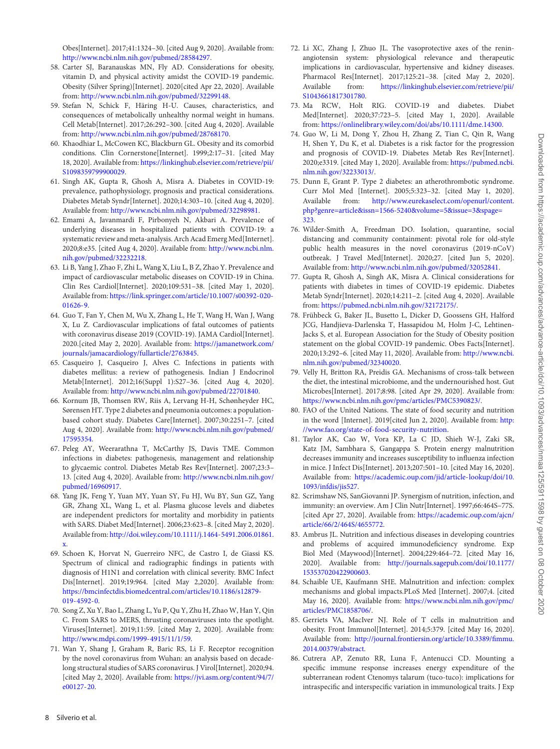Obes[Internet]. 2017;41:1324–30. [cited Aug 9, 2020]. Available from: [http://www.ncbi.nlm.nih.gov/pubmed/28584297.](http://www.ncbi.nlm.nih.gov/pubmed/28584297)

- <span id="page-7-0"></span>58. Carter SJ, Baranauskas MN, Fly AD. Considerations for obesity, vitamin D, and physical activity amidst the COVID-19 pandemic. Obesity (Silver Spring)[Internet]. 2020[cited Apr 22, 2020]. Available from: [http://www.ncbi.nlm.nih.gov/pubmed/32299148.](http://www.ncbi.nlm.nih.gov/pubmed/32299148)
- <span id="page-7-1"></span>59. Stefan N, Schick F, Häring H-U. Causes, characteristics, and consequences of metabolically unhealthy normal weight in humans. Cell Metab[Internet]. 2017;26:292–300. [cited Aug 4, 2020]. Available from: [http://www.ncbi.nlm.nih.gov/pubmed/28768170.](http://www.ncbi.nlm.nih.gov/pubmed/28768170)
- <span id="page-7-2"></span>60. Khaodhiar L, McCowen KC, Blackburn GL. Obesity and its comorbid conditions. Clin Cornerstone[Internet]. 1999;2:17–31. [cited May 18, 2020]. Available from: [https://linkinghub.elsevier.com/retrieve/pii/](https://linkinghub.elsevier.com/retrieve/pii/S1098359799900029) S1098359799900029.
- <span id="page-7-3"></span>61. Singh AK, Gupta R, Ghosh A, Misra A. Diabetes in COVID-19: prevalence, pathophysiology, prognosis and practical considerations. Diabetes Metab Syndr[Internet]. 2020;14:303–10. [cited Aug 4, 2020]. Available from: [http://www.ncbi.nlm.nih.gov/pubmed/32298981.](http://www.ncbi.nlm.nih.gov/pubmed/32298981)
- <span id="page-7-4"></span>62. Emami A, Javanmardi F, Pirbonyeh N, Akbari A. Prevalence of underlying diseases in hospitalized patients with COVID-19: a systematic review and meta-analysis. Arch Acad Emerg Med[Internet]. [2020;8:e35. \[cited Aug 4, 2020\]. Available from:](http://www.ncbi.nlm.nih.gov/pubmed/32232218) http://www.ncbi.nlm. nih.gov/pubmed/32232218.
- <span id="page-7-5"></span>63. Li B, Yang J, Zhao F, Zhi L, Wang X, Liu L, B Z, Zhao Y. Prevalence and impact of cardiovascular metabolic diseases on COVID-19 in China. Clin Res Cardiol[Internet]. 2020;109:531–38. [cited May 1, 2020]. Available from: [https://link.springer.com/article/10.1007/s00392-020-](https://link.springer.com/article/10.1007/s00392-020-01626-9) 01626-9.
- <span id="page-7-6"></span>64. Guo T, Fan Y, Chen M, Wu X, Zhang L, He T, Wang H, Wan J, Wang X, Lu Z. Cardiovascular implications of fatal outcomes of patients with coronavirus disease 2019 (COVID-19). JAMA Cardiol[Internet]. 2020.[cited May 2, 2020]. Available from: https://jamanetwork.com/ [journals/jamacardiology/fullarticle/2763845.](https://jamanetwork.com/journals/jamacardiology/fullarticle/2763845)
- <span id="page-7-7"></span>65. Casqueiro J, Casqueiro J, Alves C. Infections in patients with diabetes mellitus: a review of pathogenesis. Indian J Endocrinol Metab[Internet]. 2012;16(Suppl 1):S27–36. [cited Aug 4, 2020]. Available from: [http://www.ncbi.nlm.nih.gov/pubmed/22701840.](http://www.ncbi.nlm.nih.gov/pubmed/22701840)
- 66. Kornum JB, Thomsen RW, Riis A, Lervang H-H, Schønheyder HC, Sørensen HT. Type 2 diabetes and pneumonia outcomes: a populationbased cohort study. Diabetes Care[Internet]. 2007;30:2251–7. [cited Aug 4, 2020]. Available from: [http://www.ncbi.nlm.nih.gov/pubmed/](http://www.ncbi.nlm.nih.gov/pubmed/17595354) 17595354.
- 67. Peleg AY, Weerarathna T, McCarthy JS, Davis TME. Common infections in diabetes: pathogenesis, management and relationship to glycaemic control. Diabetes Metab Res Rev[Internet]. 2007;23:3– [13. \[cited Aug 4, 2020\]. Available from:](http://www.ncbi.nlm.nih.gov/pubmed/16960917) http://www.ncbi.nlm.nih.gov/ pubmed/16960917.
- <span id="page-7-8"></span>68. Yang JK, Feng Y, Yuan MY, Yuan SY, Fu HJ, Wu BY, Sun GZ, Yang GR, Zhang XL, Wang L, et al. Plasma glucose levels and diabetes are independent predictors for mortality and morbidity in patients with SARS. Diabet Med[Internet]. 2006;23:623–8. [cited May 2, 2020]. Available from: [http://doi.wiley.com/10.1111/j.1464-5491.2006.01861.](http://doi.wiley.com/10.1111/j.1464-5491.2006.01861.x) x.
- 69. Schoen K, Horvat N, Guerreiro NFC, de Castro I, de Giassi KS. Spectrum of clinical and radiographic findings in patients with diagnosis of H1N1 and correlation with clinical severity. BMC Infect Dis[Internet]. 2019;19:964. [cited May 2,2020]. Available from: [https://bmcinfectdis.biomedcentral.com/articles/10.1186/s12879-](https://bmcinfectdis.biomedcentral.com/articles/10.1186/s12879-019-4592-0) 019-4592-0.
- 70. Song Z, Xu Y, Bao L, Zhang L, Yu P, Qu Y, Zhu H, Zhao W, Han Y, Qin C. From SARS to MERS, thrusting coronaviruses into the spotlight. Viruses[Internet]. 2019;11:59. [cited May 2, 2020]. Available from: [http://www.mdpi.com/1999-4915/11/1/59.](http://www.mdpi.com/1999-4915/11/1/59)
- <span id="page-7-9"></span>71. Wan Y, Shang J, Graham R, Baric RS, Li F. Receptor recognition by the novel coronavirus from Wuhan: an analysis based on decadelong structural studies of SARS coronavirus. J Virol[Internet]. 2020;94. [\[cited May 2, 2020\]. Available from:](https://jvi.asm.org/content/94/7/e00127-20) https://jvi.asm.org/content/94/7/ e00127-20.
- <span id="page-7-10"></span>72. Li XC, Zhang J, Zhuo JL. The vasoprotective axes of the reninangiotensin system: physiological relevance and therapeutic implications in cardiovascular, hypertensive and kidney diseases. Pharmacol Res[Internet]. 2017;125:21–38. [cited May 2, 2020]. Available from: [https://linkinghub.elsevier.com/retrieve/pii/](https://linkinghub.elsevier.com/retrieve/pii/S1043661817301780) S1043661817301780.
- <span id="page-7-11"></span>73. Ma RCW, Holt RIG. COVID-19 and diabetes. Diabet Med[Internet]. 2020;37:723–5. [cited May 1, 2020]. Available from: [https://onlinelibrary.wiley.com/doi/abs/10.1111/dme.14300.](https://onlinelibrary.wiley.com/doi/abs/10.1111/dme.14300)
- <span id="page-7-12"></span>74. Guo W, Li M, Dong Y, Zhou H, Zhang Z, Tian C, Qin R, Wang H, Shen Y, Du K, et al. Diabetes is a risk factor for the progression and prognosis of COVID-19. Diabetes Metab Res Rev[Internet]. [2020;e3319. \[cited May 1, 2020\]. Available from:](https://pubmed.ncbi.nlm.nih.gov/32233013/) https://pubmed.ncbi. nlm.nih.gov/32233013/.
- <span id="page-7-13"></span>75. Dunn E, Grant P. Type 2 diabetes: an atherothrombotic syndrome. Curr Mol Med [Internet]. 2005;5:323–32. [cited May 1, 2020]. Available from: http://www.eurekaselect.com/openurl/content. [php?genre=article&issn=1566-5240&volume=5&issue=3&spage=](http://www.eurekaselect.com/openurl/content.php?genre=article\&issn=1566-5240\&volume=5\&issue=3\&spage=323) 323.
- <span id="page-7-14"></span>76. Wilder-Smith A, Freedman DO. Isolation, quarantine, social distancing and community containment: pivotal role for old-style public health measures in the novel coronavirus (2019-nCoV) outbreak. J Travel Med[Internet]. 2020;27. [cited Jun 5, 2020]. Available from: [http://www.ncbi.nlm.nih.gov/pubmed/32052841.](http://www.ncbi.nlm.nih.gov/pubmed/32052841)
- <span id="page-7-15"></span>77. Gupta R, Ghosh A, Singh AK, Misra A. Clinical considerations for patients with diabetes in times of COVID-19 epidemic. Diabetes Metab Syndr[Internet]. 2020;14:211–2. [cited Aug 4, 2020]. Available from: [https://pubmed.ncbi.nlm.nih.gov/32172175/.](https://pubmed.ncbi.nlm.nih.gov/32172175/)
- <span id="page-7-16"></span>78. Frühbeck G, Baker JL, Busetto L, Dicker D, Goossens GH, Halford JCG, Handjieva-Darlenska T, Hassapidou M, Holm J-C, Lehtinen-Jacks S, et al. European Association for the Study of Obesity position statement on the global COVID-19 pandemic. Obes Facts[Internet]. [2020;13:292–6. \[cited May 11, 2020\]. Available from:](http://www.ncbi.nlm.nih.gov/pubmed/32340020) http://www.ncbi. nlm.nih.gov/pubmed/32340020.
- <span id="page-7-17"></span>79. Velly H, Britton RA, Preidis GA. Mechanisms of cross-talk between the diet, the intestinal microbiome, and the undernourished host. Gut Microbes[Internet]. 2017;8:98. [cited Apr 29, 2020]. Available from: [https://www.ncbi.nlm.nih.gov/pmc/articles/PMC5390823/.](https://www.ncbi.nlm.nih.gov/pmc/articles/PMC5390823/)
- <span id="page-7-18"></span>80. FAO of the United Nations. The state of food security and nutrition [in the word \[Internet\]. 2019\[cited Jun 2, 2020\]. Available from:](http://www.fao.org/state-of-food-security-nutrition) http: //www.fao.org/state-of-food-security-nutrition.
- <span id="page-7-19"></span>81. Taylor AK, Cao W, Vora KP, La C JD, Shieh W-J, Zaki SR, Katz JM, Sambhara S, Gangappa S. Protein energy malnutrition decreases immunity and increases susceptibility to influenza infection in mice. J Infect Dis[Internet]. 2013;207:501–10. [cited May 16, 2020]. Available from: [https://academic.oup.com/jid/article-lookup/doi/10.](https://academic.oup.com/jid/article-lookup/doi/10.1093/infdis/jis527) 1093/infdis/jis527.
- <span id="page-7-20"></span>82. Scrimshaw NS, SanGiovanni JP. Synergism of nutrition, infection, and immunity: an overview. Am J Clin Nutr[Internet]. 1997;66:464S–77S. [\[cited Apr 27, 2020\]. Available from:](https://academic.oup.com/ajcn/article/66/2/464S/4655772) https://academic.oup.com/ajcn/ article/66/2/464S/4655772.
- 83. Ambrus JL. Nutrition and infectious diseases in developing countries and problems of acquired immunodeficiency syndrome. Exp Biol Med (Maywood)[Internet]. 2004;229:464–72. [cited May 16, 2020]. Available from: [http://journals.sagepub.com/doi/10.1177/](http://journals.sagepub.com/doi/10.1177/153537020422900603) 153537020422900603.
- 84. Schaible UE, Kaufmann SHE. Malnutrition and infection: complex mechanisms and global impacts.PLoS Med [Internet]. 2007;4. [cited May 16, 2020]. Available from: [https://www.ncbi.nlm.nih.gov/pmc/](https://www.ncbi.nlm.nih.gov/pmc/articles/PMC1858706/) articles/PMC1858706/.
- <span id="page-7-22"></span>85. Gerriets VA, MacIver NJ. Role of T cells in malnutrition and obesity. Front Immunol[Internet]. 2014;5:379. [cited May 16, 2020]. Available from: [http://journal.frontiersin.org/article/10.3389/fimmu.](http://journal.frontiersin.org/article/10.3389/fimmu.2014.00379/abstract) 2014.00379/abstract.
- <span id="page-7-21"></span>86. Cutrera AP, Zenuto RR, Luna F, Antenucci CD. Mounting a specific immune response increases energy expenditure of the subterranean rodent Ctenomys talarum (tuco-tuco): implications for intraspecific and interspecific variation in immunological traits. J Exp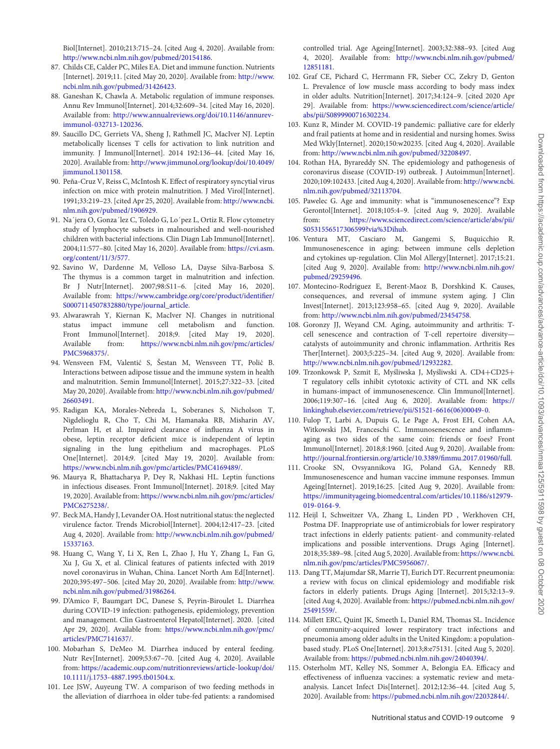Biol[Internet]. 2010;213:715–24. [cited Aug 4, 2020]. Available from: [http://www.ncbi.nlm.nih.gov/pubmed/20154186.](http://www.ncbi.nlm.nih.gov/pubmed/20154186)

- <span id="page-8-0"></span>87. Childs CE, Calder PC, Miles EA. Diet and immune function. Nutrients [\[Internet\]. 2019;11. \[cited May 20, 2020\]. Available from:](http://www.ncbi.nlm.nih.gov/pubmed/31426423) http://www. ncbi.nlm.nih.gov/pubmed/31426423.
- <span id="page-8-1"></span>88. Ganeshan K, Chawla A. Metabolic regulation of immune responses. Annu Rev Immunol[Internet]. 2014;32:609–34. [cited May 16, 2020]. Available from: [http://www.annualreviews.org/doi/10.1146/annurev](http://www.annualreviews.org/doi/10.1146/annurev-immunol-032713-120236)immunol-032713-120236.
- <span id="page-8-2"></span>89. Saucillo DC, Gerriets VA, Sheng J, Rathmell JC, MacIver NJ. Leptin metabolically licenses T cells for activation to link nutrition and immunity. J Immunol[Internet]. 2014 192:136–44. [cited May 16, 2020]. Available from: [http://www.jimmunol.org/lookup/doi/10.4049/](http://www.jimmunol.org/lookup/doi/10.4049/jimmunol.1301158) jimmunol.1301158.
- <span id="page-8-3"></span>90. Peña-Cruz V, Reiss C, McIntosh K. Effect of respiratory syncytial virus infection on mice with protein malnutrition. J Med Virol[Internet]. [1991;33:219–23. \[cited Apr 25, 2020\]. Available from:](http://www.ncbi.nlm.nih.gov/pubmed/1906929) http://www.ncbi. nlm.nih.gov/pubmed/1906929.
- <span id="page-8-4"></span>91. Na´jera O, Gonza´lez C, Toledo G, Lo´pez L, Ortiz R. Flow cytometry study of lymphocyte subsets in malnourished and well-nourished children with bacterial infections. Clin Diagn Lab Immunol[Internet]. [2004;11:577–80. \[cited May 16, 2020\]. Available from:](https://cvi.asm.org/content/11/3/577) https://cvi.asm. org/content/11/3/577.
- <span id="page-8-5"></span>92. Savino W, Dardenne M, Velloso LA, Dayse Silva-Barbosa S. The thymus is a common target in malnutrition and infection. Br J Nutr[Internet]. 2007;98:S11–6. [cited May 16, 2020]. Available from: [https://www.cambridge.org/core/product/identifier/](https://www.cambridge.org/core/product/identifier/S0007114507832880/type/journal_article) S0007114507832880/type/journal\_article.
- <span id="page-8-6"></span>93. Alwarawrah Y, Kiernan K, MacIver NJ. Changes in nutritional status impact immune cell metabolism and function. Front Immunol[Internet]. 2018;9. [cited May 19, 2020]. Available from: [https://www.ncbi.nlm.nih.gov/pmc/articles/](https://www.ncbi.nlm.nih.gov/pmc/articles/PMC5968375/) PMC5968375/.
- <span id="page-8-7"></span>94. Wensveen FM, Valentić S, Šestan M, Wensveen TT, Polić B. Interactions between adipose tissue and the immune system in health and malnutrition. Semin Immunol[Internet]. 2015;27:322–33. [cited May 20, 2020]. Available from: [http://www.ncbi.nlm.nih.gov/pubmed/](http://www.ncbi.nlm.nih.gov/pubmed/26603491) 26603491.
- <span id="page-8-8"></span>95. Radigan KA, Morales-Nebreda L, Soberanes S, Nicholson T, Nigdelioglu R, Cho T, Chi M, Hamanaka RB, Misharin AV, Perlman H, et al. Impaired clearance of influenza A virus in obese, leptin receptor deficient mice is independent of leptin signaling in the lung epithelium and macrophages. PLoS One[Internet]. 2014;9. [cited May 19, 2020]. Available from: [https://www.ncbi.nlm.nih.gov/pmc/articles/PMC4169489/.](https://www.ncbi.nlm.nih.gov/pmc/articles/PMC4169489/)
- <span id="page-8-9"></span>96. Maurya R, Bhattacharya P, Dey R, Nakhasi HL. Leptin functions in infectious diseases. Front Immunol[Internet]. 2018;9. [cited May 19, 2020]. Available from: [https://www.ncbi.nlm.nih.gov/pmc/articles/](https://www.ncbi.nlm.nih.gov/pmc/articles/PMC6275238/) PMC6275238/.
- <span id="page-8-10"></span>97. Beck MA, Handy J, Levander OA. Host nutritional status: the neglected virulence factor. Trends Microbiol[Internet]. 2004;12:417–23. [cited Aug 4, 2020]. Available from: [http://www.ncbi.nlm.nih.gov/pubmed/](http://www.ncbi.nlm.nih.gov/pubmed/15337163) 15337163.
- <span id="page-8-11"></span>98. Huang C, Wang Y, Li X, Ren L, Zhao J, Hu Y, Zhang L, Fan G, Xu J, Gu X, et al. Clinical features of patients infected with 2019 novel coronavirus in Wuhan, China. Lancet North Am Ed[Internet]. [2020;395:497–506. \[cited May 20, 2020\]. Available from:](http://www.ncbi.nlm.nih.gov/pubmed/31986264) http://www. ncbi.nlm.nih.gov/pubmed/31986264.
- <span id="page-8-12"></span>99. D'Amico F, Baumgart DC, Danese S, Peyrin-Biroulet L. Diarrhea during COVID-19 infection: pathogenesis, epidemiology, prevention and management. Clin Gastroenterol Hepatol[Internet]. 2020. [cited Apr 29, 2020]. Available from: [https://www.ncbi.nlm.nih.gov/pmc/](https://www.ncbi.nlm.nih.gov/pmc/articles/PMC7141637/) articles/PMC7141637/.
- <span id="page-8-13"></span>100. Mobarhan S, DeMeo M. Diarrhea induced by enteral feeding. Nutr Rev[Internet]. 2009;53:67–70. [cited Aug 4, 2020]. Available from: [https://academic.oup.com/nutritionreviews/article-lookup/doi/](https://academic.oup.com/nutritionreviews/article-lookup/doi/10.1111/j.1753-4887.1995.tb01504.x) 10.1111/j.1753-4887.1995.tb01504.x.
- <span id="page-8-14"></span>101. Lee JSW, Auyeung TW. A comparison of two feeding methods in the alleviation of diarrhoea in older tube-fed patients: a randomised

controlled trial. Age Ageing[Internet]. 2003;32:388–93. [cited Aug 4, 2020]. Available from: [http://www.ncbi.nlm.nih.gov/pubmed/](http://www.ncbi.nlm.nih.gov/pubmed/12851181) 12851181.

- <span id="page-8-15"></span>102. Graf CE, Pichard C, Herrmann FR, Sieber CC, Zekry D, Genton L. Prevalence of low muscle mass according to body mass index in older adults. Nutrition[Internet]. 2017;34:124–9. [cited 2020 Apr 29]. Available from: [https://www.sciencedirect.com/science/article/](https://www.sciencedirect.com/science/article/abs/pii/S0899900716302234) abs/pii/S0899900716302234.
- <span id="page-8-16"></span>103. Kunz R, Minder M. COVID-19 pandemic: palliative care for elderly and frail patients at home and in residential and nursing homes. Swiss Med Wkly[Internet]. 2020;150:w20235. [cited Aug 4, 2020]. Available from: [http://www.ncbi.nlm.nih.gov/pubmed/32208497.](http://www.ncbi.nlm.nih.gov/pubmed/32208497)
- <span id="page-8-17"></span>104. Rothan HA, Byrareddy SN. The epidemiology and pathogenesis of coronavirus disease (COVID-19) outbreak. J Autoimmun[Internet]. [2020;109:102433. \[cited Aug 4, 2020\]. Available from:](http://www.ncbi.nlm.nih.gov/pubmed/32113704) http://www.ncbi. nlm.nih.gov/pubmed/32113704.
- <span id="page-8-18"></span>105. Pawelec G. Age and immunity: what is "immunosenescence"? Exp Gerontol[Internet]. 2018;105:4–9. [cited Aug 9, 2020]. Available from: [https://www.sciencedirect.com/science/article/abs/pii/](https://www.sciencedirect.com/science/article/abs/pii/S0531556517306599?via%3Dihub) S0531556517306599?via%3Dihub.
- <span id="page-8-19"></span>106. Ventura MT, Casciaro M, Gangemi S, Buquicchio R. Immunosenescence in aging: between immune cells depletion and cytokines up-regulation. Clin Mol Allergy[Internet]. 2017;15:21. [\[cited Aug 9, 2020\]. Available from:](http://www.ncbi.nlm.nih.gov/pubmed/29259496) http://www.ncbi.nlm.nih.gov/ pubmed/29259496.
- <span id="page-8-20"></span>107. Montecino-Rodriguez E, Berent-Maoz B, Dorshkind K. Causes, consequences, and reversal of immune system aging. J Clin Invest[Internet]. 2013;123:958–65. [cited Aug 9, 2020]. Available from: [http://www.ncbi.nlm.nih.gov/pubmed/23454758.](http://www.ncbi.nlm.nih.gov/pubmed/23454758)
- <span id="page-8-21"></span>108. Goronzy JJ, Weyand CM. Aging, autoimmunity and arthritis: Tcell senescence and contraction of T-cell repertoire diversity catalysts of autoimmunity and chronic inflammation. Arthritis Res Ther[Internet]. 2003;5:225–34. [cited Aug 9, 2020]. Available from: [http://www.ncbi.nlm.nih.gov/pubmed/12932282.](http://www.ncbi.nlm.nih.gov/pubmed/12932282)
- <span id="page-8-22"></span>109. Trzonkowsk P, Szmit E, Myśliwska J, Myśliwski A. CD4+CD25+ T regulatory cells inhibit cytotoxic activity of CTL and NK cells in humans-impact of immunosenescence. Clin Immunol[Internet]. 2006;119:307–16. [cited Aug 6, 2020]. Available from: https:// [linkinghub.elsevier.com/retrieve/pii/S1521-6616\(06\)00049-0.](https://linkinghub.elsevier.com/retrieve/pii/S1521-6616(06)00049-0)
- <span id="page-8-23"></span>110. Fulop T, Larbi A, Dupuis G, Le Page A, Frost EH, Cohen AA, Witkowski JM, Franceschi C. Immunosenescence and inflammaging as two sides of the same coin: friends or foes? Front Immunol[Internet]. 2018;8:1960. [cited Aug 9, 2020]. Available from: [http://journal.frontiersin.org/article/10.3389/fimmu.2017.01960/full.](http://journal.frontiersin.org/article/10.3389/fimmu.2017.01960/full)
- <span id="page-8-24"></span>111. Crooke SN, Ovsyannikova IG, Poland GA, Kennedy RB. Immunosenescence and human vaccine immune responses. Immun Ageing[Internet]. 2019;16:25. [cited Aug 9, 2020]. Available from: [https://immunityageing.biomedcentral.com/articles/10.1186/s12979-](https://immunityageing.biomedcentral.com/articles/10.1186/s12979-019-0164-9) 019-0164-9.
- <span id="page-8-25"></span>112. Heijl I, Schweitzer VA, Zhang L, Linden PD , Werkhoven CH, Postma DF. Inappropriate use of antimicrobials for lower respiratory tract infections in elderly patients: patient- and community-related implications and possible interventions. Drugs Aging [Internet]. [2018;35:389–98. \[cited Aug 5, 2020\]. Available from:](https://www.ncbi.nlm.nih.gov/pmc/articles/PMC5956067/) https://www.ncbi. nlm.nih.gov/pmc/articles/PMC5956067/.
- 113. Dang TT, Majumdar SR, Marrie TJ, Eurich DT. Recurrent pneumonia: a review with focus on clinical epidemiology and modifiable risk factors in elderly patients. Drugs Aging [Internet]. 2015;32:13–9. [\[cited Aug 4, 2020\]. Available from:](https://pubmed.ncbi.nlm.nih.gov/25491559/) https://pubmed.ncbi.nlm.nih.gov/ 25491559/.
- 114. Millett ERC, Quint JK, Smeeth L, Daniel RM, Thomas SL. Incidence of community-acquired lower respiratory tract infections and pneumonia among older adults in the United Kingdom: a populationbased study. PLoS One[Internet]. 2013;8:e75131. [cited Aug 5, 2020]. Available from: [https://pubmed.ncbi.nlm.nih.gov/24040394/.](https://pubmed.ncbi.nlm.nih.gov/24040394/)
- <span id="page-8-26"></span>115. Osterholm MT, Kelley NS, Sommer A, Belongia EA. Efficacy and effectiveness of influenza vaccines: a systematic review and metaanalysis. Lancet Infect Dis[Internet]. 2012;12:36–44. [cited Aug 5, 2020]. Available from: [https://pubmed.ncbi.nlm.nih.gov/22032844/.](https://pubmed.ncbi.nlm.nih.gov/22032844/)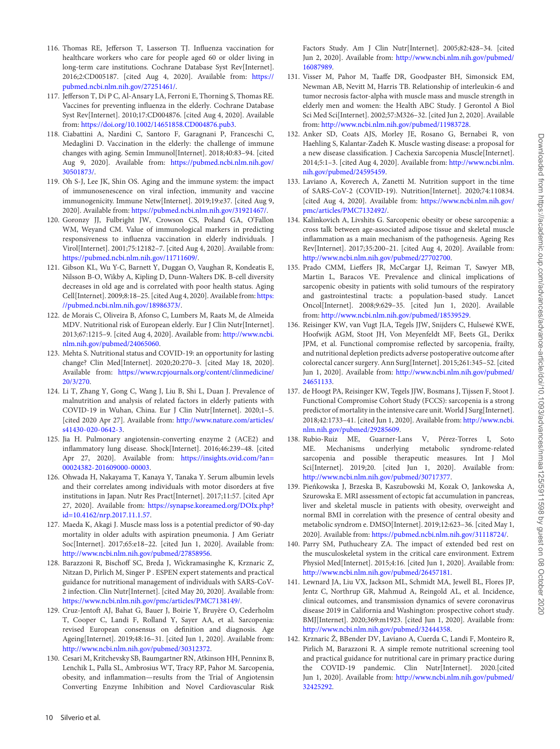- 116. Thomas RE, Jefferson T, Lasserson TJ. Influenza vaccination for healthcare workers who care for people aged 60 or older living in long-term care institutions. Cochrane Database Syst Rev[Internet]. [2016;2:CD005187. \[cited Aug 4, 2020\]. Available from:](https://pubmed.ncbi.nlm.nih.gov/27251461/) https:// pubmed.ncbi.nlm.nih.gov/27251461/.
- 117. Jefferson T, Di P C, Al-Ansary LA, Ferroni E, Thorning S, Thomas RE. Vaccines for preventing influenza in the elderly. Cochrane Database Syst Rev[Internet]. 2010;17:CD004876. [cited Aug 4, 2020]. Available from: [https://doi.org/10.1002/14651858.CD004876.pub3.](https://doi.org/10.1002/14651858.CD004876.pub3)
- 118. Ciabattini A, Nardini C, Santoro F, Garagnani P, Franceschi C, Medaglini D. Vaccination in the elderly: the challenge of immune changes with aging. Semin Immunol[Internet]. 2018;40:83–94. [cited Aug 9, 2020]. Available from: [https://pubmed.ncbi.nlm.nih.gov/](https://pubmed.ncbi.nlm.nih.gov/30501873/) 30501873/.
- 119. Oh S-J, Lee JK, Shin OS. Aging and the immune system: the impact of immunosenescence on viral infection, immunity and vaccine immunogenicity. Immune Netw[Internet]. 2019;19:e37. [cited Aug 9, 2020]. Available from: [https://pubmed.ncbi.nlm.nih.gov/31921467/.](https://pubmed.ncbi.nlm.nih.gov/31921467/)
- <span id="page-9-0"></span>120. Goronzy JJ, Fulbright JW, Crowson CS, Poland GA, O'Fallon WM, Weyand CM. Value of immunological markers in predicting responsiveness to influenza vaccination in elderly individuals. J Virol[Internet]. 2001;75:12182–7. [cited Aug 4, 2020]. Available from: [https://pubmed.ncbi.nlm.nih.gov/11711609/.](https://pubmed.ncbi.nlm.nih.gov/11711609/)
- <span id="page-9-1"></span>121. Gibson KL, Wu Y-C, Barnett Y, Duggan O, Vaughan R, Kondeatis E, Nilsson B-O, Wikby A, Kipling D, Dunn-Walters DK. B-cell diversity decreases in old age and is correlated with poor health status. Aging [Cell\[Internet\]. 2009;8:18–25. \[cited Aug 4, 2020\]. Available from:](https://pubmed.ncbi.nlm.nih.gov/18986373/) https: //pubmed.ncbi.nlm.nih.gov/18986373/.
- <span id="page-9-2"></span>122. de Morais C, Oliveira B, Afonso C, Lumbers M, Raats M, de Almeida MDV. Nutritional risk of European elderly. Eur J Clin Nutr[Internet]. [2013;67:1215–9. \[cited Aug 4, 2020\]. Available from:](http://www.ncbi.nlm.nih.gov/pubmed/24065060) http://www.ncbi. nlm.nih.gov/pubmed/24065060.
- <span id="page-9-3"></span>123. Mehta S. Nutritional status and COVID-19: an opportunity for lasting change? Clin Med[Internet]. 2020;20:270–3. [cited May 18, 2020]. Available from: [https://www.rcpjournals.org/content/clinmedicine/](https://www.rcpjournals.org/content/clinmedicine/20/3/270) 20/3/270.
- <span id="page-9-4"></span>124. Li T, Zhang Y, Gong C, Wang J, Liu B, Shi L, Duan J. Prevalence of malnutrition and analysis of related factors in elderly patients with COVID-19 in Wuhan, China. Eur J Clin Nutr[Internet]. 2020;1–5. [\[cited 2020 Apr 27\]. Available from:](http://www.nature.com/articles/s41430-020-0642-3) http://www.nature.com/articles/ s41430-020-0642-3.
- <span id="page-9-5"></span>125. Jia H. Pulmonary angiotensin-converting enzyme 2 (ACE2) and inflammatory lung disease. Shock[Internet]. 2016;46:239–48. [cited [Apr 27, 2020\]. Available from:](https://insights.ovid.com/?an=00024382-201609000-00003) https://insights.ovid.com/?an= 00024382-201609000-00003.
- <span id="page-9-6"></span>126. Ohwada H, Nakayama T, Kanaya Y, Tanaka Y. Serum albumin levels and their correlates among individuals with motor disorders at five institutions in Japan. Nutr Res Pract[Internet]. 2017;11:57. [cited Apr 27, 2020]. Available from: [https://synapse.koreamed.org/DOIx.php?](https://synapse.koreamed.org/DOIx.php?id=10.4162/nrp.2017.11.1.57) id=10.4162/nrp.2017.11.1.57.
- <span id="page-9-7"></span>127. Maeda K, Akagi J. Muscle mass loss is a potential predictor of 90-day mortality in older adults with aspiration pneumonia. J Am Geriatr Soc[Internet]. 2017;65:e18–22. [cited Jun 1, 2020]. Available from: [http://www.ncbi.nlm.nih.gov/pubmed/27858956.](http://www.ncbi.nlm.nih.gov/pubmed/27858956)
- <span id="page-9-8"></span>128. Barazzoni R, Bischoff SC, Breda J, Wickramasinghe K, Krznaric Z, Nitzan D, Pirlich M, Singer P . ESPEN expert statements and practical guidance for nutritional management of individuals with SARS-CoV-2 infection. Clin Nutr[Internet]. [cited May 20, 2020]. Available from: [https://www.ncbi.nlm.nih.gov/pmc/articles/PMC7138149/.](https://www.ncbi.nlm.nih.gov/pmc/articles/PMC7138149/)
- <span id="page-9-9"></span>129. Cruz-Jentoft AJ, Bahat G, Bauer J, Boirie Y, Bruyère O, Cederholm T, Cooper C, Landi F, Rolland Y, Sayer AA, et al. Sarcopenia: revised European consensus on definition and diagnosis. Age Ageing[Internet]. 2019;48:16–31. [cited Jun 1, 2020]. Available from: [http://www.ncbi.nlm.nih.gov/pubmed/30312372.](http://www.ncbi.nlm.nih.gov/pubmed/30312372)
- <span id="page-9-10"></span>130. Cesari M, Kritchevsky SB, Baumgartner RN, Atkinson HH, Penninx B, Lenchik L, Palla SL, Ambrosius WT, Tracy RP, Pahor M. Sarcopenia, obesity, and inflammation—results from the Trial of Angiotensin Converting Enzyme Inhibition and Novel Cardiovascular Risk

Factors Study. Am J Clin Nutr[Internet]. 2005;82:428–34. [cited Jun 2, 2020]. Available from: [http://www.ncbi.nlm.nih.gov/pubmed/](http://www.ncbi.nlm.nih.gov/pubmed/16087989) 16087989.

- <span id="page-9-11"></span>131. Visser M, Pahor M, Taaffe DR, Goodpaster BH, Simonsick EM, Newman AB, Nevitt M, Harris TB. Relationship of interleukin-6 and tumor necrosis factor-alpha with muscle mass and muscle strength in elderly men and women: the Health ABC Study. J Gerontol A Biol Sci Med Sci[Internet]. 2002;57:M326–32. [cited Jun 2, 2020]. Available from: [http://www.ncbi.nlm.nih.gov/pubmed/11983728.](http://www.ncbi.nlm.nih.gov/pubmed/11983728)
- <span id="page-9-12"></span>132. Anker SD, Coats AJS, Morley JE, Rosano G, Bernabei R, von Haehling S, Kalantar-Zadeh K. Muscle wasting disease: a proposal for a new disease classification. J Cachexia Sarcopenia Muscle[Internet]. [2014;5:1–3. \[cited Aug 4, 2020\]. Available from:](http://www.ncbi.nlm.nih.gov/pubmed/24595459) http://www.ncbi.nlm. nih.gov/pubmed/24595459.
- <span id="page-9-17"></span>133. Laviano A, Koverech A, Zanetti M. Nutrition support in the time of SARS-CoV-2 (COVID-19). Nutrition[Internet]. 2020;74:110834. [\[cited Aug 4, 2020\]. Available from:](https://www.ncbi.nlm.nih.gov/pmc/articles/PMC7132492/) https://www.ncbi.nlm.nih.gov/ pmc/articles/PMC7132492/.
- <span id="page-9-16"></span>134. Kalinkovich A, Livshits G. Sarcopenic obesity or obese sarcopenia: a cross talk between age-associated adipose tissue and skeletal muscle inflammation as a main mechanism of the pathogenesis. Ageing Res Rev[Internet]. 2017;35:200–21. [cited Aug 4, 2020]. Available from: [http://www.ncbi.nlm.nih.gov/pubmed/27702700.](http://www.ncbi.nlm.nih.gov/pubmed/27702700)
- <span id="page-9-13"></span>135. Prado CMM, Lieffers JR, McCargar LJ, Reiman T, Sawyer MB, Martin L, Baracos VE. Prevalence and clinical implications of sarcopenic obesity in patients with solid tumours of the respiratory and gastrointestinal tracts: a population-based study. Lancet Oncol[Internet]. 2008;9:629–35. [cited Jun 1, 2020]. Available from: [http://www.ncbi.nlm.nih.gov/pubmed/18539529.](http://www.ncbi.nlm.nih.gov/pubmed/18539529)
- 136. Reisinger KW, van Vugt JLA, Tegels JJW, Snijders C, Hulsewé KWE, Hoofwijk AGM, Stoot JH, Von Meyenfeldt MF, Beets GL, Derikx JPM, et al. Functional compromise reflected by sarcopenia, frailty, and nutritional depletion predicts adverse postoperative outcome after colorectal cancer surgery. Ann Surg[Internet]. 2015;261:345–52. [cited Jun 1, 2020]. Available from: [http://www.ncbi.nlm.nih.gov/pubmed/](http://www.ncbi.nlm.nih.gov/pubmed/24651133) 24651133.
- 137. de Hoogt PA, Reisinger KW, Tegels JJW, Bosmans J, Tijssen F, Stoot J. Functional Compromise Cohort Study (FCCS): sarcopenia is a strong predictor of mortality in the intensive care unit.World J Surg[Internet]. [2018;42:1733–41. \[cited Jun 1, 2020\]. Available from:](http://www.ncbi.nlm.nih.gov/pubmed/29285609) http://www.ncbi. nlm.nih.gov/pubmed/29285609.
- <span id="page-9-14"></span>138. Rubio-Ruiz ME, Guarner-Lans V, Pérez-Torres I, Soto ME. Mechanisms underlying metabolic syndrome-related sarcopenia and possible therapeutic measures. Int J Mol Sci[Internet]. 2019;20. [cited Jun 1, 2020]. Available from: [http://www.ncbi.nlm.nih.gov/pubmed/30717377.](http://www.ncbi.nlm.nih.gov/pubmed/30717377)
- <span id="page-9-15"></span>139. Pienkowska J, Brzeska B, Kaszubowski M, Kozak O, Jankowska A, ´ Szurowska E. MRI assessment of ectopic fat accumulation in pancreas, liver and skeletal muscle in patients with obesity, overweight and normal BMI in correlation with the presence of central obesity and metabolic syndrom e. DMSO[Internet]. 2019;12:623–36. [cited May 1, 2020]. Available from: [https://pubmed.ncbi.nlm.nih.gov/31118724/.](https://pubmed.ncbi.nlm.nih.gov/31118724/)
- <span id="page-9-18"></span>140. Parry SM, Puthucheary ZA. The impact of extended bed rest on the musculoskeletal system in the critical care environment. Extrem Physiol Med[Internet]. 2015;4:16. [cited Jun 1, 2020]. Available from: [http://www.ncbi.nlm.nih.gov/pubmed/26457181.](http://www.ncbi.nlm.nih.gov/pubmed/26457181)
- <span id="page-9-19"></span>141. Lewnard JA, Liu VX, Jackson ML, Schmidt MA, Jewell BL, Flores JP, Jentz C, Northrup GR, Mahmud A, Reingold AL, et al. Incidence, clinical outcomes, and transmission dynamics of severe coronavirus disease 2019 in California and Washington: prospective cohort study. BMJ[Internet]. 2020;369:m1923. [cited Jun 1, 2020]. Available from: [http://www.ncbi.nlm.nih.gov/pubmed/32444358.](http://www.ncbi.nlm.nih.gov/pubmed/32444358)
- <span id="page-9-20"></span>142. Krznaric Ž, BBender DV, Laviano A, Cuerda C, Landi F, Monteiro R, Pirlich M, Barazzoni R. A simple remote nutritional screening tool and practical guidance for nutritional care in primary practice during the COVID-19 pandemic. Clin Nutr[Internet]. 2020.[cited Jun 1, 2020]. Available from: [http://www.ncbi.nlm.nih.gov/pubmed/](http://www.ncbi.nlm.nih.gov/pubmed/32425292) 32425292.